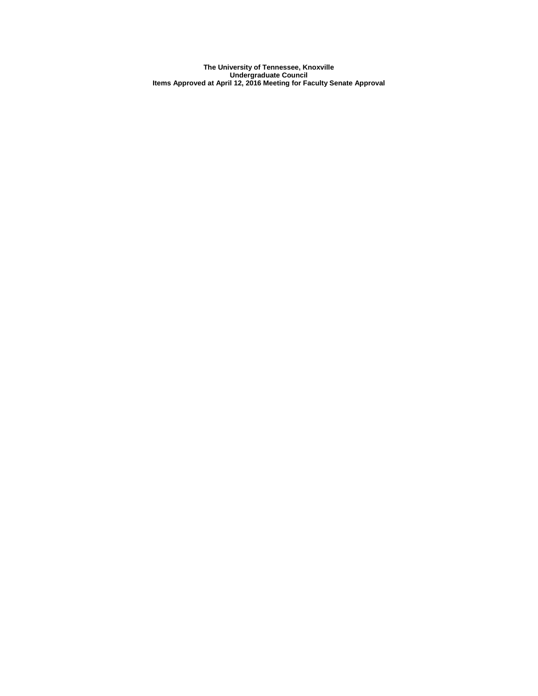**The University of Tennessee, Knoxville Undergraduate Council Items Approved at April 12, 2016 Meeting for Faculty Senate Approval**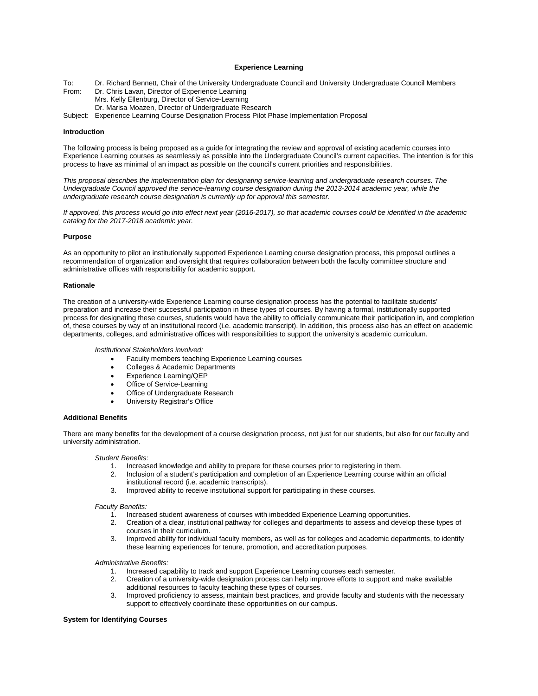# **Experience Learning**

To: Dr. Richard Bennett, Chair of the University Undergraduate Council and University Undergraduate Council Members From: Dr. Chris Lavan, Director of Experience Learning Mrs. Kelly Ellenburg, Director of Service-Learning Dr. Marisa Moazen, Director of Undergraduate Research Subject: Experience Learning Course Designation Process Pilot Phase Implementation Proposal

#### **Introduction**

The following process is being proposed as a guide for integrating the review and approval of existing academic courses into Experience Learning courses as seamlessly as possible into the Undergraduate Council's current capacities. The intention is for this process to have as minimal of an impact as possible on the council's current priorities and responsibilities.

*This proposal describes the implementation plan for designating service-learning and undergraduate research courses. The*  Undergraduate Council approved the service-learning course designation during the 2013-2014 academic year, while the *undergraduate research course designation is currently up for approval this semester.*

*If approved, this process would go into effect next year (2016-2017), so that academic courses could be identified in the academic catalog for the 2017-2018 academic year.*

#### **Purpose**

As an opportunity to pilot an institutionally supported Experience Learning course designation process, this proposal outlines a recommendation of organization and oversight that requires collaboration between both the faculty committee structure and administrative offices with responsibility for academic support.

#### **Rationale**

The creation of a university-wide Experience Learning course designation process has the potential to facilitate students' preparation and increase their successful participation in these types of courses. By having a formal, institutionally supported process for designating these courses, students would have the ability to officially communicate their participation in, and completion of, these courses by way of an institutional record (i.e. academic transcript). In addition, this process also has an effect on academic departments, colleges, and administrative offices with responsibilities to support the university's academic curriculum.

*Institutional Stakeholders involved:*

- Faculty members teaching Experience Learning courses
- Colleges & Academic Departments
- Experience Learning/QEP
- Office of Service-Learning
- Office of Undergraduate Research
- University Registrar's Office

#### **Additional Benefits**

There are many benefits for the development of a course designation process, not just for our students, but also for our faculty and university administration.

# *Student Benefits:*

- 1. Increased knowledge and ability to prepare for these courses prior to registering in them.<br>2. Inclusion of a student's participation and completion of an Experience Learning course wi
- 2. Inclusion of a student's participation and completion of an Experience Learning course within an official institutional record (i.e. academic transcripts).
- 3. Improved ability to receive institutional support for participating in these courses.

# *Faculty Benefits:*

- 1. Increased student awareness of courses with imbedded Experience Learning opportunities.<br>2. Creation of a clear, institutional pathway for colleges and departments to assess and develo
- 2. Creation of a clear, institutional pathway for colleges and departments to assess and develop these types of courses in their curriculum.
- 3. Improved ability for individual faculty members, as well as for colleges and academic departments, to identify these learning experiences for tenure, promotion, and accreditation purposes.

*Administrative Benefits:* 

- 1. Increased capability to track and support Experience Learning courses each semester.<br>2. Creation of a university-wide designation process can help improve efforts to support and
- 2. Creation of a university-wide designation process can help improve efforts to support and make available additional resources to faculty teaching these types of courses.
- 3. Improved proficiency to assess, maintain best practices, and provide faculty and students with the necessary support to effectively coordinate these opportunities on our campus.

#### **System for Identifying Courses**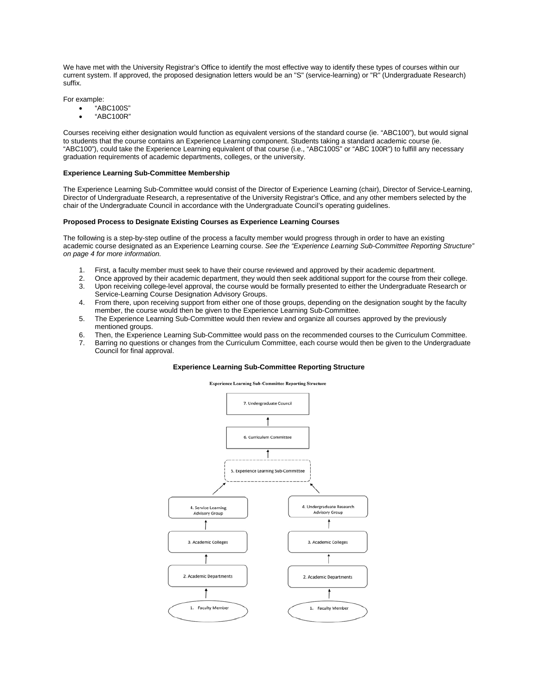We have met with the University Registrar's Office to identify the most effective way to identify these types of courses within our current system. If approved, the proposed designation letters would be an "S" (service-learning) or "R" (Undergraduate Research) suffix.

For example:

- "ABC100S"
	- "ABC100R"

Courses receiving either designation would function as equivalent versions of the standard course (ie. "ABC100"), but would signal to students that the course contains an Experience Learning component. Students taking a standard academic course (ie. "ABC100"), could take the Experience Learning equivalent of that course (i.e., "ABC100S" or "ABC 100R") to fulfill any necessary graduation requirements of academic departments, colleges, or the university.

#### **Experience Learning Sub-Committee Membership**

The Experience Learning Sub-Committee would consist of the Director of Experience Learning (chair), Director of Service-Learning, Director of Undergraduate Research, a representative of the University Registrar's Office, and any other members selected by the chair of the Undergraduate Council in accordance with the Undergraduate Council's operating guidelines.

# **Proposed Process to Designate Existing Courses as Experience Learning Courses**

The following is a step-by-step outline of the process a faculty member would progress through in order to have an existing academic course designated as an Experience Learning course. *See the "Experience Learning Sub-Committee Reporting Structure" on page 4 for more information.*

- 1. First, a faculty member must seek to have their course reviewed and approved by their academic department.
- 2. Once approved by their academic department, they would then seek additional support for the course from their college. 3. Upon receiving college-level approval, the course would be formally presented to either the Undergraduate Research or Service-Learning Course Designation Advisory Groups.
- 4. From there, upon receiving support from either one of those groups, depending on the designation sought by the faculty member, the course would then be given to the Experience Learning Sub-Committee.
- 5. The Experience Learning Sub-Committee would then review and organize all courses approved by the previously mentioned groups.
- 6. Then, the Experience Learning Sub-Committee would pass on the recommended courses to the Curriculum Committee.<br>7. Barring no questions or changes from the Curriculum Committee, each course would then be given to the Und
- Barring no questions or changes from the Curriculum Committee, each course would then be given to the Undergraduate Council for final approval.

# **Experience Learning Sub-Committee Reporting Structure**

#### **Experience Learning Sub-Committee Reporting Structure**

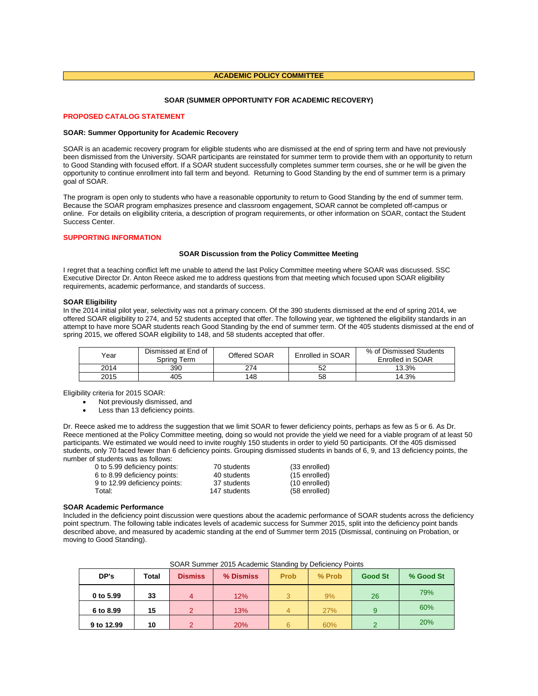# **ACADEMIC POLICY COMMITTEE**

# **SOAR (SUMMER OPPORTUNITY FOR ACADEMIC RECOVERY)**

# **PROPOSED CATALOG STATEMENT**

#### **SOAR: Summer Opportunity for Academic Recovery**

SOAR is an academic recovery program for eligible students who are dismissed at the end of spring term and have not previously been dismissed from the University. SOAR participants are reinstated for summer term to provide them with an opportunity to return to Good Standing with focused effort. If a SOAR student successfully completes summer term courses, she or he will be given the opportunity to continue enrollment into fall term and beyond. Returning to Good Standing by the end of summer term is a primary goal of SOAR.

The program is open only to students who have a reasonable opportunity to return to Good Standing by the end of summer term. Because the SOAR program emphasizes presence and classroom engagement, SOAR cannot be completed off-campus or online. For details on eligibility criteria, a description of program requirements, or other information on SOAR, contact the Student Success Center.

# **SUPPORTING INFORMATION**

#### **SOAR Discussion from the Policy Committee Meeting**

I regret that a teaching conflict left me unable to attend the last Policy Committee meeting where SOAR was discussed. SSC Executive Director Dr. Anton Reece asked me to address questions from that meeting which focused upon SOAR eligibility requirements, academic performance, and standards of success.

# **SOAR Eligibility**

In the 2014 initial pilot year, selectivity was not a primary concern. Of the 390 students dismissed at the end of spring 2014, we offered SOAR eligibility to 274, and 52 students accepted that offer. The following year, we tightened the eligibility standards in an attempt to have more SOAR students reach Good Standing by the end of summer term. Of the 405 students dismissed at the end of spring 2015, we offered SOAR eligibility to 148, and 58 students accepted that offer.

| Year | Dismissed at End of<br>Spring Term | Offered SOAR | Enrolled in SOAR | % of Dismissed Students<br>Enrolled in SOAR |
|------|------------------------------------|--------------|------------------|---------------------------------------------|
| 2014 | 390                                | 274          | 52               | 13.3%                                       |
| 2015 | 405                                | 148          | 58               | 14.3%                                       |

Eligibility criteria for 2015 SOAR:

- Not previously dismissed, and
- Less than 13 deficiency points.

Dr. Reece asked me to address the suggestion that we limit SOAR to fewer deficiency points, perhaps as few as 5 or 6. As Dr. Reece mentioned at the Policy Committee meeting, doing so would not provide the yield we need for a viable program of at least 50 participants. We estimated we would need to invite roughly 150 students in order to yield 50 participants. Of the 405 dismissed students, only 70 faced fewer than 6 deficiency points. Grouping dismissed students in bands of 6, 9, and 13 deficiency points, the number of students was as follows:<br>0 to 5.99 deficiency points

| 0 to 5.99 deficiency points:  | 70 students  | (33 enrolled) |
|-------------------------------|--------------|---------------|
| 6 to 8.99 deficiency points:  | 40 students  | (15 enrolled) |
| 9 to 12.99 deficiency points: | 37 students  | (10 enrolled) |
| Total:                        | 147 students | (58 enrolled) |

# **SOAR Academic Performance**

Included in the deficiency point discussion were questions about the academic performance of SOAR students across the deficiency point spectrum. The following table indicates levels of academic success for Summer 2015, split into the deficiency point bands described above, and measured by academic standing at the end of Summer term 2015 (Dismissal, continuing on Probation, or moving to Good Standing).

| DP's       | Total | <b>Dismiss</b> | % Dismiss | <b>Prob</b> | % Prob | <b>Good St</b> | % Good St |
|------------|-------|----------------|-----------|-------------|--------|----------------|-----------|
| 0 to 5.99  | 33    |                | 12%       |             | 9%     | 26             | 79%       |
| 6 to 8.99  | 15    | 2              | 13%       |             | 27%    |                | 60%       |
| 9 to 12.99 | 10    | റ              | 20%       | 6           | 60%    |                | 20%       |

# SOAR Summer 2015 Academic Standing by Deficiency Points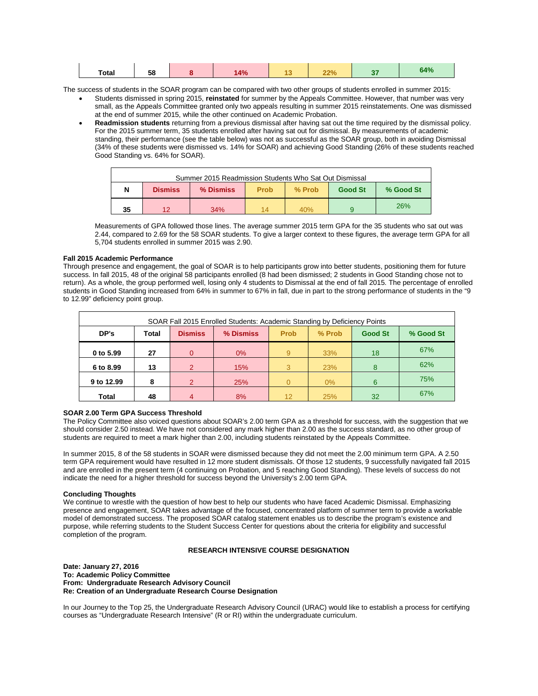| <b>Total</b> | co<br>50 |  | 4% |  | nn. | <b>COLLECT</b> | 64% |
|--------------|----------|--|----|--|-----|----------------|-----|
|--------------|----------|--|----|--|-----|----------------|-----|

The success of students in the SOAR program can be compared with two other groups of students enrolled in summer 2015:

- Students dismissed in spring 2015, **reinstated** for summer by the Appeals Committee. However, that number was very small, as the Appeals Committee granted only two appeals resulting in summer 2015 reinstatements. One was dismissed at the end of summer 2015, while the other continued on Academic Probation.
- **Readmission students** returning from a previous dismissal after having sat out the time required by the dismissal policy. For the 2015 summer term, 35 students enrolled after having sat out for dismissal. By measurements of academic standing, their performance (see the table below) was not as successful as the SOAR group, both in avoiding Dismissal (34% of these students were dismissed vs. 14% for SOAR) and achieving Good Standing (26% of these students reached Good Standing vs. 64% for SOAR).

|    | Summer 2015 Readmission Students Who Sat Out Dismissal |           |             |        |                |           |  |
|----|--------------------------------------------------------|-----------|-------------|--------|----------------|-----------|--|
| N  | <b>Dismiss</b>                                         | % Dismiss | <b>Prob</b> | % Prob | <b>Good St</b> | % Good St |  |
| 35 | ィウ                                                     | 34%       | 14          | 40%    |                | 26%       |  |

Measurements of GPA followed those lines. The average summer 2015 term GPA for the 35 students who sat out was 2.44, compared to 2.69 for the 58 SOAR students. To give a larger context to these figures, the average term GPA for all 5,704 students enrolled in summer 2015 was 2.90.

# **Fall 2015 Academic Performance**

Through presence and engagement, the goal of SOAR is to help participants grow into better students, positioning them for future success. In fall 2015, 48 of the original 58 participants enrolled (8 had been dismissed; 2 students in Good Standing chose not to return). As a whole, the group performed well, losing only 4 students to Dismissal at the end of fall 2015. The percentage of enrolled students in Good Standing increased from 64% in summer to 67% in fall, due in part to the strong performance of students in the "9 to 12.99" deficiency point group.

| SOAR Fall 2015 Enrolled Students: Academic Standing by Deficiency Points |       |                |           |             |        |                |           |
|--------------------------------------------------------------------------|-------|----------------|-----------|-------------|--------|----------------|-----------|
| DP's                                                                     | Total | <b>Dismiss</b> | % Dismiss | <b>Prob</b> | % Prob | <b>Good St</b> | % Good St |
| 0 to 5.99                                                                | 27    | 0              | $0\%$     | 9           | 33%    | 18             | 67%       |
| 6 to 8.99                                                                | 13    | 2              | 15%       | 3           | 23%    | 8              | 62%       |
| 9 to 12.99                                                               | 8     | 2              | 25%       | U           | $0\%$  | 6              | 75%       |
| Total                                                                    | 48    | 4              | 8%        | 12          | 25%    | 32             | 67%       |

# **SOAR 2.00 Term GPA Success Threshold**

The Policy Committee also voiced questions about SOAR's 2.00 term GPA as a threshold for success, with the suggestion that we should consider 2.50 instead. We have not considered any mark higher than 2.00 as the success standard, as no other group of students are required to meet a mark higher than 2.00, including students reinstated by the Appeals Committee.

In summer 2015, 8 of the 58 students in SOAR were dismissed because they did not meet the 2.00 minimum term GPA. A 2.50 term GPA requirement would have resulted in 12 more student dismissals. Of those 12 students, 9 successfully navigated fall 2015 and are enrolled in the present term (4 continuing on Probation, and 5 reaching Good Standing). These levels of success do not indicate the need for a higher threshold for success beyond the University's 2.00 term GPA.

# **Concluding Thoughts**

We continue to wrestle with the question of how best to help our students who have faced Academic Dismissal. Emphasizing presence and engagement, SOAR takes advantage of the focused, concentrated platform of summer term to provide a workable model of demonstrated success. The proposed SOAR catalog statement enables us to describe the program's existence and purpose, while referring students to the Student Success Center for questions about the criteria for eligibility and successful completion of the program.

# **RESEARCH INTENSIVE COURSE DESIGNATION**

**Date: January 27, 2016 To: Academic Policy Committee From: Undergraduate Research Advisory Council Re: Creation of an Undergraduate Research Course Designation**

In our Journey to the Top 25, the Undergraduate Research Advisory Council (URAC) would like to establish a process for certifying courses as "Undergraduate Research Intensive" (R or RI) within the undergraduate curriculum.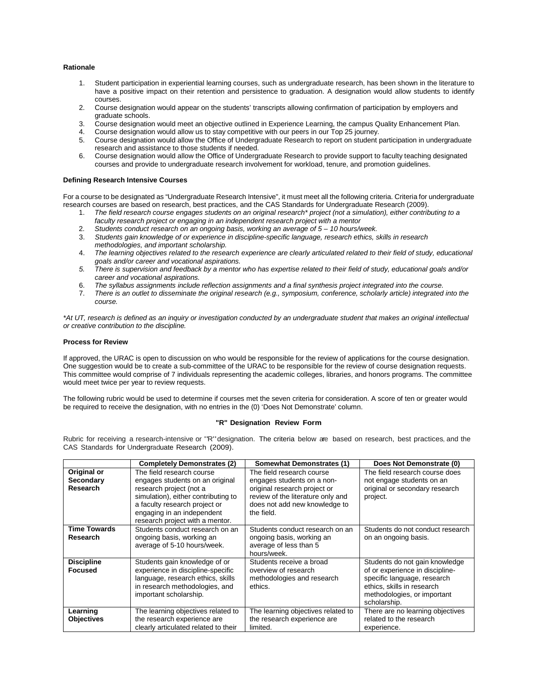# **Rationale**

- 1. Student participation in experiential learning courses, such as undergraduate research, has been shown in the literature to have a positive impact on their retention and persistence to graduation. A designation would allow students to identify courses.
- 2. Course designation would appear on the students' transcripts allowing confirmation of participation by employers and graduate schools.
- 3. Course designation would meet an objective outlined in Experience Learning, the campus Quality Enhancement Plan.
- 
- 4. Course designation would allow us to stay competitive with our peers in our Top 25 journey.<br>5. Course designation would allow the Office of Undergraduate Research to report on student r 5. Course designation would allow the Office of Undergraduate Research to report on student participation in undergraduate research and assistance to those students if needed.
- 6. Course designation would allow the Office of Undergraduate Research to provide support to faculty teaching designated courses and provide to undergraduate research involvement for workload, tenure, and promotion guidelines.

# **Defining Research Intensive Courses**

For a course to be designated as "Undergraduate Research Intensive", it must meet all the following criteria. Criteria for undergraduate research courses are based on research, best practices, and the CAS Standards for Undergraduate Research (2009).

- 1. *The field research course engages students on an original research\* project (not a simulation), either contributing to a faculty research project or engaging in an independent research project with a mentor*
- 2. *Students conduct research on an ongoing basis, working an average of 5 – 10 hours/week.*
- 3. *Students gain knowledge of or experience in discipline-specific language, research ethics, skills in research methodologies, and important scholarship.*
- 4. *The learning objectives related to the research experience are clearly articulated related to their field of study, educational goals and/or career and vocational aspirations.*
- *5. There is supervision and feedback by a mentor who has expertise related to their field of study, educational goals and/or career and vocational aspirations.*
- 6. *The syllabus assignments include reflection assignments and a final synthesis project integrated into the course.*
- 7. *There is an outlet to disseminate the original research (e.g., symposium, conference, scholarly article) integrated into the course.*

*\*At UT, research is defined as an inquiry or investigation conducted by an undergraduate student that makes an original intellectual or creative contribution to the discipline.*

# **Process for Review**

If approved, the URAC is open to discussion on who would be responsible for the review of applications for the course designation. One suggestion would be to create a sub-committee of the URAC to be responsible for the review of course designation requests. This committee would comprise of 7 individuals representing the academic colleges, libraries, and honors programs. The committee would meet twice per year to review requests.

The following rubric would be used to determine if courses met the seven criteria for consideration. A score of ten or greater would be required to receive the designation, with no entries in the (0) 'Does Not Demonstrate' column.

# **"R" Designation Review Form**

Rubric for receiving <sup>a</sup> research-intensive or "R"designation. The criteria below are based on research, best practices, and the CAS Standards for Undergraduate Research (2009).

|                                      | <b>Completely Demonstrates (2)</b>                                                                                                                                                                                               | <b>Somewhat Demonstrates (1)</b>                                                                                                                                            | Does Not Demonstrate (0)                                                                                                                                                      |
|--------------------------------------|----------------------------------------------------------------------------------------------------------------------------------------------------------------------------------------------------------------------------------|-----------------------------------------------------------------------------------------------------------------------------------------------------------------------------|-------------------------------------------------------------------------------------------------------------------------------------------------------------------------------|
| Original or<br>Secondary<br>Research | The field research course<br>engages students on an original<br>research project (not a<br>simulation), either contributing to<br>a faculty research project or<br>engaging in an independent<br>research project with a mentor. | The field research course<br>engages students on a non-<br>original research project or<br>review of the literature only and<br>does not add new knowledge to<br>the field. | The field research course does<br>not engage students on an<br>original or secondary research<br>project.                                                                     |
| <b>Time Towards</b><br>Research      | Students conduct research on an<br>ongoing basis, working an<br>average of 5-10 hours/week.                                                                                                                                      | Students conduct research on an<br>ongoing basis, working an<br>average of less than 5<br>hours/week.                                                                       | Students do not conduct research<br>on an ongoing basis.                                                                                                                      |
| <b>Discipline</b><br><b>Focused</b>  | Students gain knowledge of or<br>experience in discipline-specific<br>language, research ethics, skills<br>in research methodologies, and<br>important scholarship.                                                              | Students receive a broad<br>overview of research<br>methodologies and research<br>ethics.                                                                                   | Students do not gain knowledge<br>of or experience in discipline-<br>specific language, research<br>ethics, skills in research<br>methodologies, or important<br>scholarship. |
| Learning<br><b>Objectives</b>        | The learning objectives related to<br>the research experience are<br>clearly articulated related to their                                                                                                                        | The learning objectives related to<br>the research experience are<br>limited.                                                                                               | There are no learning objectives<br>related to the research<br>experience.                                                                                                    |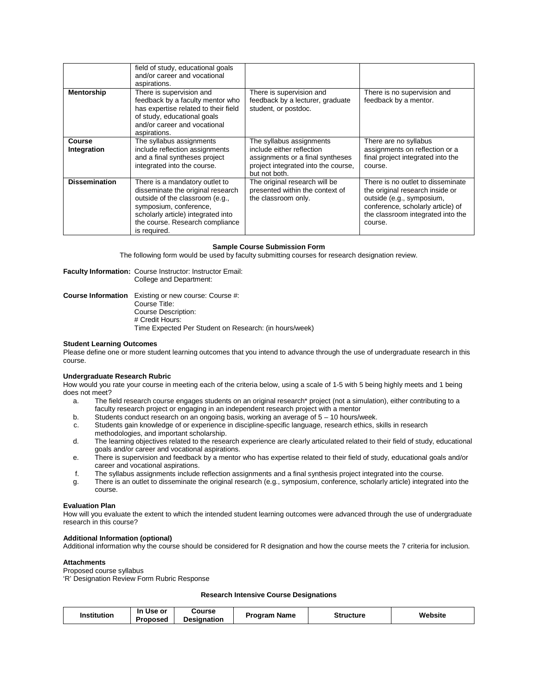|                       | field of study, educational goals<br>and/or career and vocational<br>aspirations.                                                                                                                                         |                                                                                                                                                   |                                                                                                                                                                                        |
|-----------------------|---------------------------------------------------------------------------------------------------------------------------------------------------------------------------------------------------------------------------|---------------------------------------------------------------------------------------------------------------------------------------------------|----------------------------------------------------------------------------------------------------------------------------------------------------------------------------------------|
| <b>Mentorship</b>     | There is supervision and<br>feedback by a faculty mentor who<br>has expertise related to their field<br>of study, educational goals<br>and/or career and vocational<br>aspirations.                                       | There is supervision and<br>feedback by a lecturer, graduate<br>student, or postdoc.                                                              | There is no supervision and<br>feedback by a mentor.                                                                                                                                   |
| Course<br>Integration | The syllabus assignments<br>include reflection assignments<br>and a final syntheses project<br>integrated into the course.                                                                                                | The syllabus assignments<br>include either reflection<br>assignments or a final syntheses<br>project integrated into the course,<br>but not both. | There are no syllabus<br>assignments on reflection or a<br>final project integrated into the<br>course.                                                                                |
| <b>Dissemination</b>  | There is a mandatory outlet to<br>disseminate the original research<br>outside of the classroom (e.g.,<br>symposium, conference,<br>scholarly article) integrated into<br>the course. Research compliance<br>is required. | The original research will be<br>presented within the context of<br>the classroom only.                                                           | There is no outlet to disseminate<br>the original research inside or<br>outside (e.g., symposium,<br>conference, scholarly article) of<br>the classroom integrated into the<br>course. |

# **Sample Course Submission Form**

The following form would be used by faculty submitting courses for research designation review.

**Faculty Information:** Course Instructor: Instructor Email: College and Department:

**Course Information** Existing or new course: Course #: Course Title: Course Description: # Credit Hours: Time Expected Per Student on Research: (in hours/week)

# **Student Learning Outcomes**

Please define one or more student learning outcomes that you intend to advance through the use of undergraduate research in this course.

# **Undergraduate Research Rubric**

How would you rate your course in meeting each of the criteria below, using a scale of 1-5 with 5 being highly meets and 1 being does not meet?

- a. The field research course engages students on an original research\* project (not a simulation), either contributing to a faculty research project or engaging in an independent research project with a mentor
- b. Students conduct research on an ongoing basis, working an average of 5 10 hours/week.
- c. Students gain knowledge of or experience in discipline-specific language, research ethics, skills in research
- methodologies, and important scholarship.
- d. The learning objectives related to the research experience are clearly articulated related to their field of study, educational goals and/or career and vocational aspirations.
- e. There is supervision and feedback by a mentor who has expertise related to their field of study, educational goals and/or career and vocational aspirations.
- f. The syllabus assignments include reflection assignments and a final synthesis project integrated into the course.
- g. There is an outlet to disseminate the original research (e.g., symposium, conference, scholarly article) integrated into the course.

# **Evaluation Plan**

How will you evaluate the extent to which the intended student learning outcomes were advanced through the use of undergraduate research in this course?

# **Additional Information (optional)**

Additional information why the course should be considered for R designation and how the course meets the 7 criteria for inclusion.

# **Attachments**

Proposed course syllabus

'R' Designation Review Form Rubric Response

# **Research Intensive Course Designations**

| <b>Institution</b> | . Use<br>In<br>. or<br>Proposed | Course<br><b>Designation</b> | Program<br>Name | <b>Structure</b> | Website |
|--------------------|---------------------------------|------------------------------|-----------------|------------------|---------|
|--------------------|---------------------------------|------------------------------|-----------------|------------------|---------|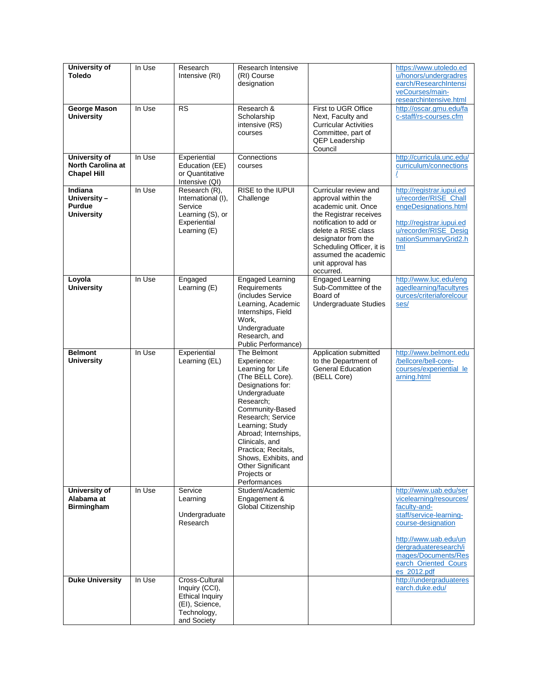| University of<br><b>Toledo</b>                                  | In Use | Research<br>Intensive (RI)                                                                                 | Research Intensive<br>(RI) Course<br>designation                                                                                                                                                                                                                                                                               |                                                                                                                                                                                                                                                              | https://www.utoledo.ed<br>u/honors/undergradres<br>earch/ResearchIntensi                                                                                                                                                           |
|-----------------------------------------------------------------|--------|------------------------------------------------------------------------------------------------------------|--------------------------------------------------------------------------------------------------------------------------------------------------------------------------------------------------------------------------------------------------------------------------------------------------------------------------------|--------------------------------------------------------------------------------------------------------------------------------------------------------------------------------------------------------------------------------------------------------------|------------------------------------------------------------------------------------------------------------------------------------------------------------------------------------------------------------------------------------|
|                                                                 |        |                                                                                                            |                                                                                                                                                                                                                                                                                                                                |                                                                                                                                                                                                                                                              | veCourses/main-<br>researchintensive.html                                                                                                                                                                                          |
| George Mason<br><b>University</b>                               | In Use | <b>RS</b>                                                                                                  | Research &<br>Scholarship<br>intensive (RS)<br>courses                                                                                                                                                                                                                                                                         | First to UGR Office<br>Next, Faculty and<br><b>Curricular Activities</b><br>Committee, part of<br><b>QEP Leadership</b><br>Council                                                                                                                           | http://oscar.gmu.edu/fa<br>c-staff/rs-courses.cfm                                                                                                                                                                                  |
| <b>University of</b><br>North Carolina at<br><b>Chapel Hill</b> | In Use | Experiential<br>Education (EE)<br>or Quantitative<br>Intensive (QI)                                        | Connections<br>courses                                                                                                                                                                                                                                                                                                         |                                                                                                                                                                                                                                                              | http://curricula.unc.edu/<br>curriculum/connections                                                                                                                                                                                |
| Indiana<br>University-<br>Purdue<br><b>University</b>           | In Use | Research (R),<br>International (I),<br>Service<br>Learning (S), or<br>Experiential<br>Learning (E)         | RISE to the IUPUI<br>Challenge                                                                                                                                                                                                                                                                                                 | Curricular review and<br>approval within the<br>academic unit. Once<br>the Registrar receives<br>notification to add or<br>delete a RISE class<br>designator from the<br>Scheduling Officer, it is<br>assumed the academic<br>unit approval has<br>occurred. | http://registrar.iupui.ed<br>u/recorder/RISE_Chall<br>engeDesignations.html<br>http://registrar.iupui.ed<br>u/recorder/RISE_Desig<br>nationSummaryGrid2.h<br>tml                                                                   |
| Loyola<br><b>University</b>                                     | In Use | Engaged<br>Learning (E)                                                                                    | <b>Engaged Learning</b><br>Requirements<br>(includes Service)<br>Learning, Academic<br>Internships, Field<br>Work,<br>Undergraduate<br>Research, and<br>Public Performance)                                                                                                                                                    | <b>Engaged Learning</b><br>Sub-Committee of the<br>Board of<br>Undergraduate Studies                                                                                                                                                                         | http://www.luc.edu/eng<br>agedlearning/facultyres<br>ources/criteriaforelcour<br>ses/                                                                                                                                              |
| <b>Belmont</b><br><b>University</b>                             | In Use | Experiential<br>Learning (EL)                                                                              | The Belmont<br>Experience:<br>Learning for Life<br>(The BELL Core).<br>Designations for:<br>Undergraduate<br>Research;<br>Community-Based<br>Research; Service<br>Learning; Study<br>Abroad; Internships,<br>Clinicals, and<br>Practica; Recitals,<br>Shows, Exhibits, and<br>Other Significant<br>Projects or<br>Performances | Application submitted<br>to the Department of<br><b>General Education</b><br>(BELL Core)                                                                                                                                                                     | http://www.belmont.edu<br>/bellcore/bell-core-<br>courses/experiential le<br>arning.html                                                                                                                                           |
| <b>University of</b><br>Alabama at<br><b>Birmingham</b>         | In Use | Service<br>Learning<br>Undergraduate<br>Research                                                           | Student/Academic<br>Engagement &<br>Global Citizenship                                                                                                                                                                                                                                                                         |                                                                                                                                                                                                                                                              | http://www.uab.edu/ser<br>vicelearning/resources/<br>faculty-and-<br>staff/service-learning-<br>course-designation<br>http://www.uab.edu/un<br>dergraduateresearch/i<br>mages/Documents/Res<br>earch_Oriented_Cours<br>es_2012.pdf |
| <b>Duke University</b>                                          | In Use | Cross-Cultural<br>Inquiry (CCI),<br><b>Ethical Inquiry</b><br>(EI), Science,<br>Technology,<br>and Society |                                                                                                                                                                                                                                                                                                                                |                                                                                                                                                                                                                                                              | http://undergraduateres<br>earch.duke.edu/                                                                                                                                                                                         |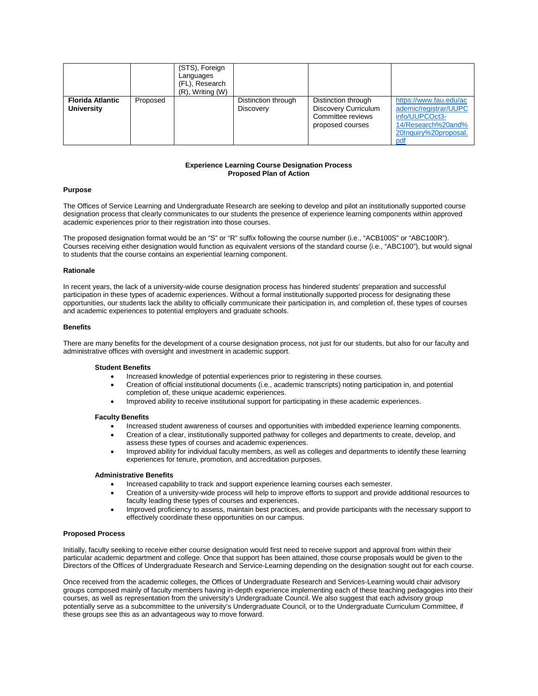|                                              |          | (STS), Foreign<br>Languages<br>(FL), Research<br>$(R)$ , Writing $(W)$ |                                  |                                                                                             |                                                                                                                         |
|----------------------------------------------|----------|------------------------------------------------------------------------|----------------------------------|---------------------------------------------------------------------------------------------|-------------------------------------------------------------------------------------------------------------------------|
| <b>Florida Atlantic</b><br><b>University</b> | Proposed |                                                                        | Distinction through<br>Discovery | Distinction through<br><b>Discovery Curriculum</b><br>Committee reviews<br>proposed courses | https://www.fau.edu/ac<br>ademic/registrar/UUPC<br>info/UUPCOct3-<br>14/Research%20and%<br>20Inquiry%20proposal.<br>pdf |

# **Experience Learning Course Designation Process Proposed Plan of Action**

# **Purpose**

The Offices of Service Learning and Undergraduate Research are seeking to develop and pilot an institutionally supported course designation process that clearly communicates to our students the presence of experience learning components within approved academic experiences prior to their registration into those courses.

The proposed designation format would be an "S" or "R" suffix following the course number (i.e., "ACB100S" or "ABC100R"). Courses receiving either designation would function as equivalent versions of the standard course (i.e., "ABC100"), but would signal to students that the course contains an experiential learning component.

# **Rationale**

In recent years, the lack of a university-wide course designation process has hindered students' preparation and successful participation in these types of academic experiences. Without a formal institutionally supported process for designating these opportunities, our students lack the ability to officially communicate their participation in, and completion of, these types of courses and academic experiences to potential employers and graduate schools.

# **Benefits**

There are many benefits for the development of a course designation process, not just for our students, but also for our faculty and administrative offices with oversight and investment in academic support.

# **Student Benefits**

- Increased knowledge of potential experiences prior to registering in these courses.
- Creation of official institutional documents (i.e., academic transcripts) noting participation in, and potential completion of, these unique academic experiences.
- Improved ability to receive institutional support for participating in these academic experiences.

# **Faculty Benefits**

- Increased student awareness of courses and opportunities with imbedded experience learning components.
- Creation of a clear, institutionally supported pathway for colleges and departments to create, develop, and assess these types of courses and academic experiences.
- Improved ability for individual faculty members, as well as colleges and departments to identify these learning experiences for tenure, promotion, and accreditation purposes.

# **Administrative Benefits**

- Increased capability to track and support experience learning courses each semester.
- Creation of a university-wide process will help to improve efforts to support and provide additional resources to faculty leading these types of courses and experiences.
- Improved proficiency to assess, maintain best practices, and provide participants with the necessary support to effectively coordinate these opportunities on our campus.

# **Proposed Process**

Initially, faculty seeking to receive either course designation would first need to receive support and approval from within their particular academic department and college. Once that support has been attained, those course proposals would be given to the Directors of the Offices of Undergraduate Research and Service-Learning depending on the designation sought out for each course.

Once received from the academic colleges, the Offices of Undergraduate Research and Services-Learning would chair advisory groups composed mainly of faculty members having in-depth experience implementing each of these teaching pedagogies into their courses, as well as representation from the university's Undergraduate Council. We also suggest that each advisory group potentially serve as a subcommittee to the university's Undergraduate Council, or to the Undergraduate Curriculum Committee, if these groups see this as an advantageous way to move forward.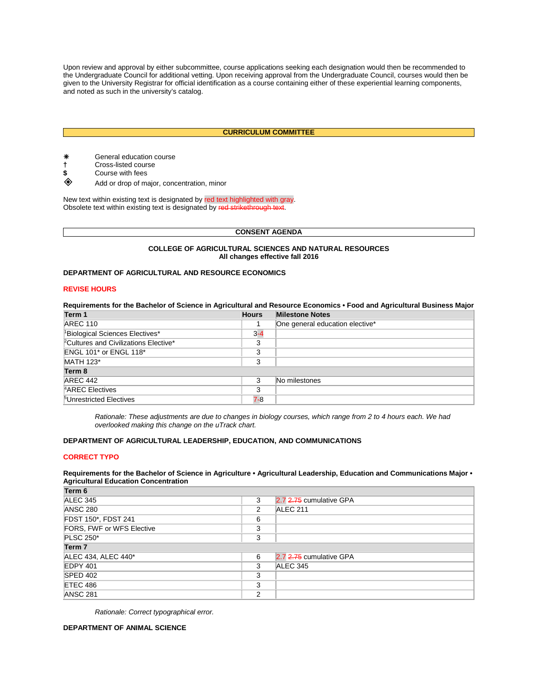Upon review and approval by either subcommittee, course applications seeking each designation would then be recommended to the Undergraduate Council for additional vetting. Upon receiving approval from the Undergraduate Council, courses would then be given to the University Registrar for official identification as a course containing either of these experiential learning components, and noted as such in the university's catalog.

# **CURRICULUM COMMITTEE**

- \* General education course<br>
† Cross-listed course<br>
\$ Course with fees
- **†** Cross-listed course
- \$ Course with fees
- Add or drop of major, concentration, minor

New text within existing text is designated by red text highlighted with gray. Obsolete text within existing text is designated by red strikethrough text.

# **CONSENT AGENDA**

# **COLLEGE OF AGRICULTURAL SCIENCES AND NATURAL RESOURCES All changes effective fall 2016**

# **DEPARTMENT OF AGRICULTURAL AND RESOURCE ECONOMICS**

# **REVISE HOURS**

| Requirements for the Bachelor of Science in Agricultural and Resource Economics • Food and Agricultural Business Major |              |                                 |  |  |  |  |  |
|------------------------------------------------------------------------------------------------------------------------|--------------|---------------------------------|--|--|--|--|--|
| Term 1                                                                                                                 | <b>Hours</b> | <b>Milestone Notes</b>          |  |  |  |  |  |
| <b>AREC 110</b>                                                                                                        |              | One general education elective* |  |  |  |  |  |
| <sup>1</sup> Biological Sciences Electives*                                                                            | $3 - 4$      |                                 |  |  |  |  |  |
| <sup>2</sup> Cultures and Civilizations Elective*                                                                      | 3            |                                 |  |  |  |  |  |
| <b>ENGL 101* or ENGL 118*</b>                                                                                          | 3            |                                 |  |  |  |  |  |
| <b>MATH 123*</b>                                                                                                       | 3            |                                 |  |  |  |  |  |
| Term 8                                                                                                                 |              |                                 |  |  |  |  |  |
| AREC 442                                                                                                               | 3            | No milestones                   |  |  |  |  |  |
| <sup>4</sup> AREC Electives                                                                                            | 3            |                                 |  |  |  |  |  |
| <sup>5</sup> Unrestricted Electives                                                                                    | 7-8          |                                 |  |  |  |  |  |

*Rationale: These adjustments are due to changes in biology courses, which range from 2 to 4 hours each. We had overlooked making this change on the uTrack chart.* 

# **DEPARTMENT OF AGRICULTURAL LEADERSHIP, EDUCATION, AND COMMUNICATIONS**

# **CORRECT TYPO**

# **Requirements for the Bachelor of Science in Agriculture • Agricultural Leadership, Education and Communications Major • Agricultural Education Concentration**

| Term 6                    |   |                         |  |
|---------------------------|---|-------------------------|--|
| ALEC 345                  | 3 | 2.7 2.75 cumulative GPA |  |
| <b>ANSC 280</b>           | 2 | ALEC 211                |  |
| FDST 150*, FDST 241       | 6 |                         |  |
| FORS, FWF or WFS Elective | 3 |                         |  |
| <b>PLSC 250*</b>          | 3 |                         |  |
| Term <sub>7</sub>         |   |                         |  |
| ALEC 434, ALEC 440*       | 6 | 2.7 2.75 cumulative GPA |  |
| EDPY 401                  | 3 | ALEC 345                |  |
| <b>SPED 402</b>           | 3 |                         |  |
| ETEC 486                  | 3 |                         |  |
| <b>ANSC 281</b>           | 2 |                         |  |

*Rationale: Correct typographical error.*

**DEPARTMENT OF ANIMAL SCIENCE**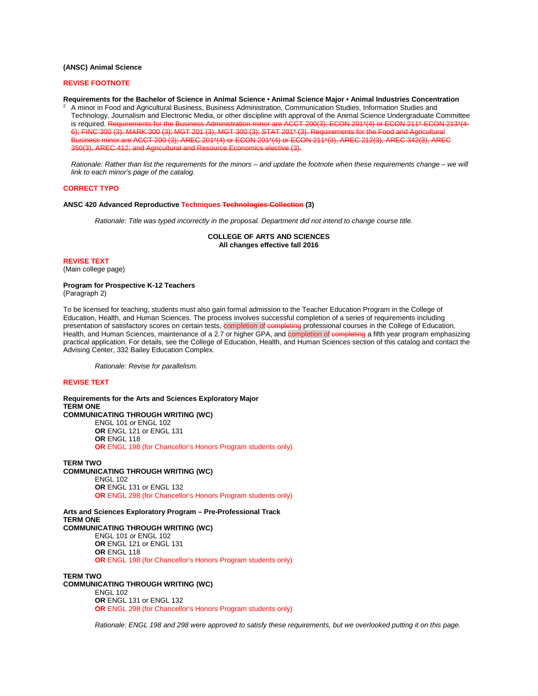# **(ANSC) Animal Science**

#### **REVISE FOOTNOTE**

**Requirements for the Bachelor of Science in Animal Science • Animal Science Major • Animal Industries Concentration**

<sup>2</sup> A minor in Food and Agricultural Business, Business Administration, Communication Studies, Information Studies and Technology, Journalism and Electronic Media, or other discipline with approval of the Animal Science Undergraduate Committee is required. Requirements for the Business Administration minor are ACCT 200(3); ECON 201\*(4) or ECON 211\*-ECON 213\*(4- 6); FINC 300 (3); MARK 300 (3); MGT 201 (3), MGT 300 (3); STAT 201\* (3). Requirements for the Food and Agricultural Business minor are ACCT 200 (3); AREC 201\*(4) or ECON 201\*(4) or ECON 211\*(3), AREC 212(3), AREC 342(3), AREC 350(3), AREC 412; and Agricultural and Resource Economics elective (3).

*Rationale: Rather than list the requirements for the minors – and update the footnote when these requirements change – we will link to each minor's page of the catalog.*

# **CORRECT TYPO**

#### **ANSC 420 Advanced Reproductive Techniques Technologies Collection (3)**

*Rationale: Title was typed incorrectly in the proposal. Department did not intend to change course title.*

**COLLEGE OF ARTS AND SCIENCES All changes effective fall 2016**

#### **REVISE TEXT**

(Main college page)

#### **Program for Prospective K-12 Teachers** (Paragraph 2)

To be licensed for teaching, students must also gain formal admission to the Teacher Education Program in the College of Education, Health, and Human Sciences. The process involves successful completion of a series of requirements including presentation of satisfactory scores on certain tests, completion of completing professional courses in the College of Education, Health, and Human Sciences, maintenance of a 2.7 or higher GPA, and completion of completing a fifth year program emphasizing practical application. For details, see the College of Education, Health, and Human Sciences section of this catalog and contact the Advising Center, 332 Bailey Education Complex.

*Rationale: Revise for parallelism.*

# **REVISE TEXT**

**Requirements for the Arts and Sciences Exploratory Major TERM ONE COMMUNICATING THROUGH WRITING (WC)** ENGL 101 or ENGL 102 **OR** ENGL 121 or ENGL 131 **OR** ENGL 118 **OR** ENGL 198 (for Chancellor's Honors Program students only)

**TERM TWO COMMUNICATING THROUGH WRITING (WC)** ENGL 102 **OR** ENGL 131 or ENGL 132 **OR** ENGL 298 (for Chancellor's Honors Program students only)

**Arts and Sciences Exploratory Program – Pre-Professional Track TERM ONE COMMUNICATING THROUGH WRITING (WC)** ENGL 101 or ENGL 102 **OR** ENGL 121 or ENGL 131 **OR** ENGL 118 **OR** ENGL 198 (for Chancellor's Honors Program students only)

**TERM TWO COMMUNICATING THROUGH WRITING (WC)** ENGL 102 **OR** ENGL 131 or ENGL 132 **OR** ENGL 298 (for Chancellor's Honors Program students only)

*Rationale: ENGL 198 and 298 were approved to satisfy these requirements, but we overlooked putting it on this page.*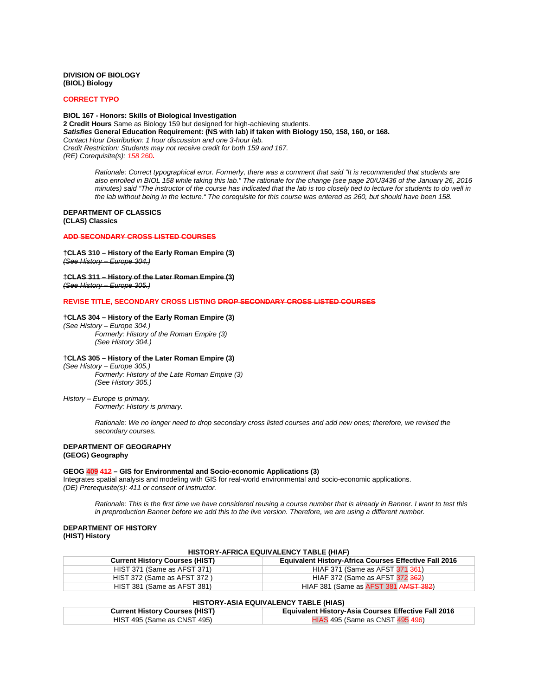# **DIVISION OF BIOLOGY (BIOL) Biology**

#### **CORRECT TYPO**

**BIOL 167 - Honors: Skills of Biological Investigation 2 Credit Hours** Same as Biology 159 but designed for high-achieving students. *Satisfies* **General Education Requirement: (NS with lab) if taken with Biology 150, 158, 160, or 168.** *Contact Hour Distribution: 1 hour discussion and one 3-hour lab. Credit Restriction: Students may not receive credit for both 159 and 167. (RE) Corequisite(s): 158* 260*.*

*Rationale: Correct typographical error. Formerly, there was a comment that said "It is recommended that students are also enrolled in BIOL 158 while taking this lab." The rationale for the change (see page 20/U3436 of the January 26, 2016 minutes) said "The instructor of the course has indicated that the lab is too closely tied to lecture for students to do well in the lab without being in the lecture." The corequisite for this course was entered as 260, but should have been 158.*

# **DEPARTMENT OF CLASSICS (CLAS) Classics**

# **ADD SECONDARY CROSS LISTED COURSES**

# **†CLAS 310 – History of the Early Roman Empire (3)** *(See History – Europe 304.)*

# **†CLAS 311 – History of the Later Roman Empire (3)** *(See History – Europe 305.)*

**REVISE TITLE, SECONDARY CROSS LISTING DROP SECONDARY CROSS LISTED COURSES**

**†CLAS 304 – History of the Early Roman Empire (3)** *(See History – Europe 304.) Formerly: History of the Roman Empire (3) (See History 304.)*

# **†CLAS 305 – History of the Later Roman Empire (3)**

*(See History – Europe 305.) Formerly: History of the Late Roman Empire (3) (See History 305.)*

# *History – Europe is primary.*

*Formerly: History is primary.*

*Rationale: We no longer need to drop secondary cross listed courses and add new ones; therefore, we revised the secondary courses.*

#### **DEPARTMENT OF GEOGRAPHY (GEOG) Geography**

#### **GEOG 409 412 – GIS for Environmental and Socio-economic Applications (3)**

Integrates spatial analysis and modeling with GIS for real-world environmental and socio-economic applications. *(DE) Prerequisite(s): 411 or consent of instructor.*

*Rationale: This is the first time we have considered reusing a course number that is already in Banner. I want to test this in preproduction Banner before we add this to the live version. Therefore, we are using a different number.*

# **DEPARTMENT OF HISTORY (HIST) History**

| HISTORY-AFRICA EQUIVALENCY TABLE (HIAF) |                                                              |  |
|-----------------------------------------|--------------------------------------------------------------|--|
| <b>Current History Courses (HIST)</b>   | <b>Equivalent History-Africa Courses Effective Fall 2016</b> |  |
| HIST 371 (Same as AFST 371)             | HIAF 371 (Same as AFST 371 364)                              |  |
| HIST 372 (Same as AFST 372)             | HIAF 372 (Same as AFST 372 362)                              |  |
| HIST 381 (Same as AFST 381)             | HIAF 381 (Same as AFST 381 AMST 382)                         |  |

#### **HISTORY-ASIA EQUIVALENCY TABLE (HIAS)**

| <b>Current History Courses (HIST)</b> | <b>Equivalent History-Asia Courses Effective Fall 2016</b> |
|---------------------------------------|------------------------------------------------------------|
| HIST 495 (Same as CNST 495)           | HIAS 495 (Same as CNST 495 496)                            |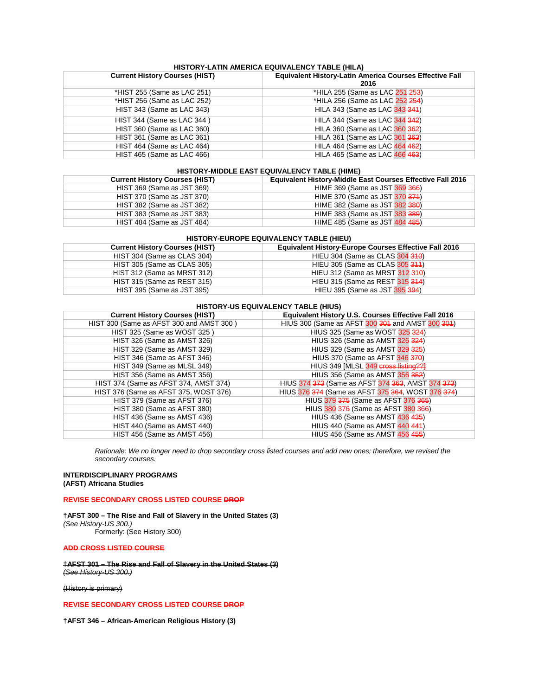# **HISTORY-LATIN AMERICA EQUIVALENCY TABLE (HILA)**

| <b>Current History Courses (HIST)</b> | <b>Equivalent History-Latin America Courses Effective Fall</b><br>2016 |  |  |  |
|---------------------------------------|------------------------------------------------------------------------|--|--|--|
| *HIST 255 (Same as LAC 251)           | *HILA 255 (Same as LAC 251 253)                                        |  |  |  |
| *HIST 256 (Same as LAC 252)           | *HILA 256 (Same as LAC 252 254)                                        |  |  |  |
| HIST 343 (Same as LAC 343)            | HILA 343 (Same as LAC 343 344)                                         |  |  |  |
| HIST 344 (Same as LAC 344)            | HILA 344 (Same as LAC 344 342)                                         |  |  |  |
| HIST 360 (Same as LAC 360)            | HILA 360 (Same as LAC 360 362)                                         |  |  |  |
| HIST 361 (Same as LAC 361)            | HILA 361 (Same as LAC 361 363)                                         |  |  |  |
| HIST 464 (Same as LAC 464)            | HILA 464 (Same as LAC 464 462)                                         |  |  |  |
| HIST 465 (Same as LAC 466)            | HILA 465 (Same as LAC 466 463)                                         |  |  |  |

# **HISTORY-MIDDLE EAST EQUIVALENCY TABLE (HIME)**

| <b>Current History Courses (HIST)</b> | <b>Equivalent History-Middle East Courses Effective Fall 2016</b> |
|---------------------------------------|-------------------------------------------------------------------|
| HIST 369 (Same as JST 369)            | HIME 369 (Same as JST 369 366)                                    |
| HIST 370 (Same as JST 370)            | HIME 370 (Same as JST 370 374)                                    |
| HIST 382 (Same as JST 382)            | HIME 382 (Same as JST 382 380)                                    |
| HIST 383 (Same as JST 383)            | HIME 383 (Same as JST 383 389)                                    |
| HIST 484 (Same as JST 484)            | HIME 485 (Same as JST 484 485)                                    |

# **HISTORY-EUROPE EQUIVALENCY TABLE (HIEU)**

| <b>Current History Courses (HIST)</b> | <b>Equivalent History-Europe Courses Effective Fall 2016</b> |
|---------------------------------------|--------------------------------------------------------------|
| HIST 304 (Same as CLAS 304)           | HIEU 304 (Same as CLAS 304 310)                              |
| HIST 305 (Same as CLAS 305)           | HIEU 305 (Same as CLAS 305 311)                              |
| HIST 312 (Same as MRST 312)           | HIEU 312 (Same as MRST 312 310)                              |
| HIST 315 (Same as REST 315)           | HIEU 315 (Same as REST 315 314)                              |
| HIST 395 (Same as JST 395)            | HIEU 395 (Same as JST 395 394)                               |

#### **HISTORY-US EQUIVALENCY TABLE (HIUS)**

| <b>Current History Courses (HIST)</b>    | <b>Equivalent History U.S. Courses Effective Fall 2016</b> |
|------------------------------------------|------------------------------------------------------------|
| HIST 300 (Same as AFST 300 and AMST 300) | HIUS 300 (Same as AFST 300 301 and AMST 300 301)           |
| HIST 325 (Same as WOST 325)              | HIUS 325 (Same as WOST 325 324)                            |
| HIST 326 (Same as AMST 326)              | HIUS 326 (Same as AMST 326 324)                            |
| HIST 329 (Same as AMST 329)              | HIUS 329 (Same as AMST 329 325)                            |
| HIST 346 (Same as AFST 346)              | HIUS 370 (Same as AFST 346 370)                            |
| HIST 349 (Same as MLSL 349)              | HIUS 349 [MLSL 349 cross listing??]                        |
| HIST 356 (Same as AMST 356)              | HIUS 356 (Same as AMST 356 352)                            |
| HIST 374 (Same as AFST 374, AMST 374)    | HIUS 374 373 (Same as AFST 374 363, AMST 374 373)          |
| HIST 376 (Same as AFST 375, WOST 376)    | HIUS 376 374 (Same as AFST 375 364, WOST 376 374)          |
| HIST 379 (Same as AFST 376)              | HIUS 379 375 (Same as AFST 376 365)                        |
| HIST 380 (Same as AFST 380)              | HIUS 380 376 (Same as AFST 380 366)                        |
| HIST 436 (Same as AMST 436)              | HIUS 436 (Same as AMST 436 435)                            |
| HIST 440 (Same as AMST 440)              | HIUS 440 (Same as AMST 440 441)                            |
| HIST 456 (Same as AMST 456)              | HIUS 456 (Same as AMST 456 455)                            |

*Rationale: We no longer need to drop secondary cross listed courses and add new ones; therefore, we revised the secondary courses.*

# **INTERDISCIPLINARY PROGRAMS (AFST) Africana Studies**

# **REVISE SECONDARY CROSS LISTED COURSE DROP**

**†AFST 300 – The Rise and Fall of Slavery in the United States (3)**  *(See History-US 300.)* Formerly: (See History 300)

#### **ADD CROSS LISTED COURSE**

**†AFST 301 – The Rise and Fall of Slavery in the United States (3)** *(See History-US 300.)*

(History is primary)

# **REVISE SECONDARY CROSS LISTED COURSE DROP**

**†AFST 346 – African-American Religious History (3)**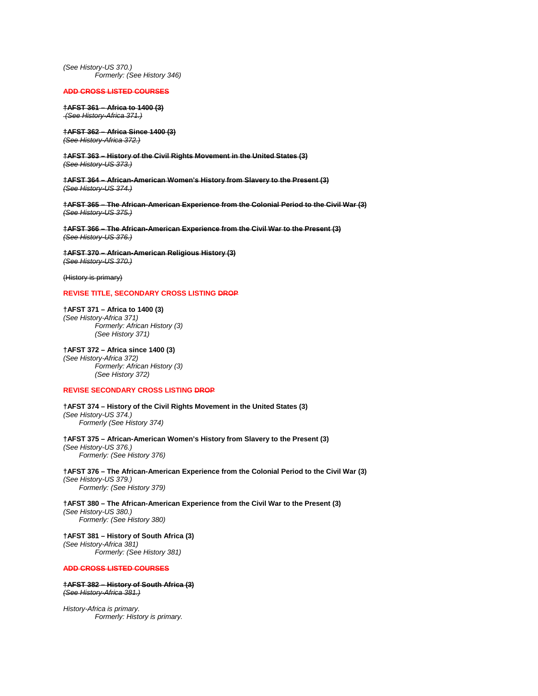*(See History-US 370.) Formerly: (See History 346)*

#### **ADD CROSS LISTED COURSES**

**†AFST 361 – Africa to 1400 (3)** *(See History-Africa 371.)*

**†AFST 362 – Africa Since 1400 (3)** *(See History-Africa 372.)*

**†AFST 363 – History of the Civil Rights Movement in the United States (3)** *(See History-US 373.)*

**†AFST 364 – African-American Women's History from Slavery to the Present (3)** *(See History-US 374.)*

**†AFST 365 – The African-American Experience from the Colonial Period to the Civil War (3)** *(See History-US 375.)*

**†AFST 366 – The African-American Experience from the Civil War to the Present (3)** *(See History-US 376.)*

**†AFST 370 – African-American Religious History (3)** *(See History-US 370.)*

(History is primary)

# **REVISE TITLE, SECONDARY CROSS LISTING DROP**

**†AFST 371 – Africa to 1400 (3)** *(See History-Africa 371) Formerly: African History (3) (See History 371)*

**†AFST 372 – Africa since 1400 (3)** *(See History-Africa 372) Formerly: African History (3) (See History 372)*

# **REVISE SECONDARY CROSS LISTING DROP**

**†AFST 374 – History of the Civil Rights Movement in the United States (3)** *(See History-US 374.) Formerly (See History 374)*

**†AFST 375 – African-American Women's History from Slavery to the Present (3)** *(See History-US 376.) Formerly: (See History 376)*

**†AFST 376 – The African-American Experience from the Colonial Period to the Civil War (3)** *(See History-US 379.) Formerly: (See History 379)*

**†AFST 380 – The African-American Experience from the Civil War to the Present (3)** *(See History-US 380.) Formerly: (See History 380)*

**†AFST 381 – History of South Africa (3)**  *(See History-Africa 381) Formerly: (See History 381)*

#### **ADD CROSS LISTED COURSES**

# **†AFST 382 – History of South Africa (3)** *(See History-Africa 381.)*

*History-Africa is primary. Formerly: History is primary.*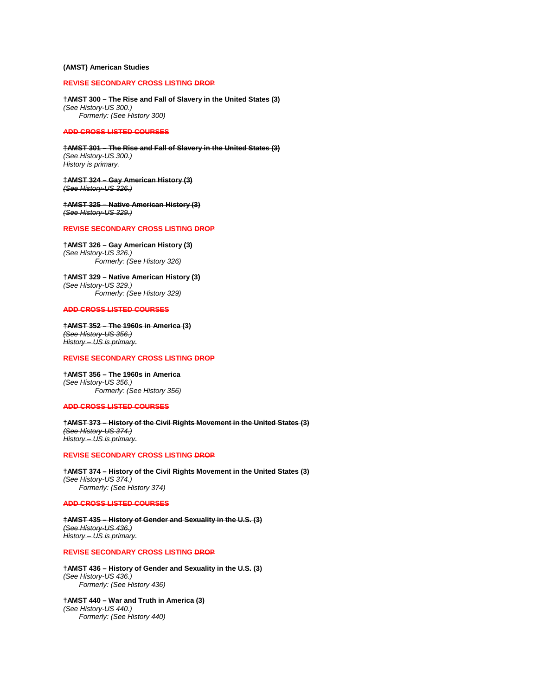# **(AMST) American Studies**

# **REVISE SECONDARY CROSS LISTING DROP**

**†AMST 300 – The Rise and Fall of Slavery in the United States (3)**  *(See History-US 300.) Formerly: (See History 300)*

#### **ADD CROSS LISTED COURSES**

**†AMST 301 – The Rise and Fall of Slavery in the United States (3)** *(See History-US 300.) History is primary.*

**†AMST 324 – Gay American History (3)** *(See History-US 326.)*

**†AMST 325 – Native American History (3)** *(See History-US 329.)*

#### **REVISE SECONDARY CROSS LISTING DROP**

**†AMST 326 – Gay American History (3)** *(See History-US 326.) Formerly: (See History 326)*

**†AMST 329 – Native American History (3)** *(See History-US 329.) Formerly: (See History 329)*

# **ADD CROSS LISTED COURSES**

**†AMST 352 – The 1960s in America (3)** *(See History-US 356.) History – US is primary.*

# **REVISE SECONDARY CROSS LISTING DROP**

**†AMST 356 – The 1960s in America** *(See History-US 356.) Formerly: (See History 356)*

#### **ADD CROSS LISTED COURSES**

**†AMST 373 – History of the Civil Rights Movement in the United States (3)** *(See History-US 374.) History – US is primary.*

# **REVISE SECONDARY CROSS LISTING DROP**

**†AMST 374 – History of the Civil Rights Movement in the United States (3)** *(See History-US 374.) Formerly: (See History 374)*

#### **ADD CROSS LISTED COURSES**

**†AMST 435 – History of Gender and Sexuality in the U.S. (3)** *(See History-US 436.) History – US is primary.*

# **REVISE SECONDARY CROSS LISTING DROP**

**†AMST 436 – History of Gender and Sexuality in the U.S. (3)** *(See History-US 436.) Formerly: (See History 436)*

**†AMST 440 – War and Truth in America (3)** *(See History-US 440.) Formerly: (See History 440)*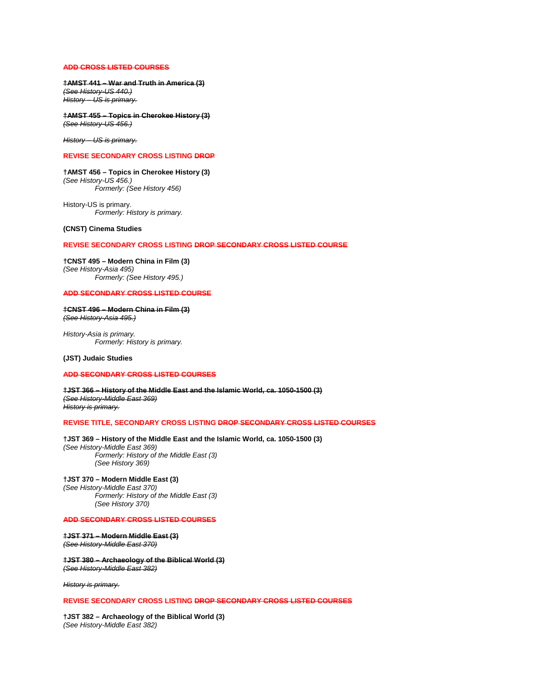# **ADD CROSS LISTED COURSES**

**†AMST 441 – War and Truth in America (3)** *(See History-US 440.) History – US is primary.*

**†AMST 455 – Topics in Cherokee History (3)** *(See History-US 456.)*

*History – US is primary.*

# **REVISE SECONDARY CROSS LISTING DROP**

# **†AMST 456 – Topics in Cherokee History (3)**

*(See History-US 456.) Formerly: (See History 456)*

History-US is primary. *Formerly: History is primary.*

# **(CNST) Cinema Studies**

# **REVISE SECONDARY CROSS LISTING DROP SECONDARY CROSS LISTED COURSE**

**†CNST 495 – Modern China in Film (3)** *(See History-Asia 495) Formerly: (See History 495.)*

# **ADD SECONDARY CROSS LISTED COURSE**

**†CNST 496 – Modern China in Film (3)** *(See History-Asia 495.)*

*History-Asia is primary. Formerly: History is primary.*

# **(JST) Judaic Studies**

# **ADD SECONDARY CROSS LISTED COURSES**

**†JST 366 – History of the Middle East and the Islamic World, ca. 1050-1500 (3)** *(See History-Middle East 369) History is primary.*

#### **REVISE TITLE, SECONDARY CROSS LISTING DROP SECONDARY CROSS LISTED COURSES**

# **†JST 369 – History of the Middle East and the Islamic World, ca. 1050-1500 (3)**

*(See History-Middle East 369) Formerly: History of the Middle East (3) (See History 369)*

# **†JST 370 – Modern Middle East (3)**

*(See History-Middle East 370) Formerly: History of the Middle East (3) (See History 370)*

#### **ADD SECONDARY CROSS LISTED COURSES**

#### **†JST 371 – Modern Middle East (3)** *(See History-Middle East 370)*

#### **†JST 380 – Archaeology of the Biblical World (3)** *(See History-Middle East 382)*

*History is primary.*

#### **REVISE SECONDARY CROSS LISTING DROP SECONDARY CROSS LISTED COURSES**

**†JST 382 – Archaeology of the Biblical World (3)** *(See History-Middle East 382)*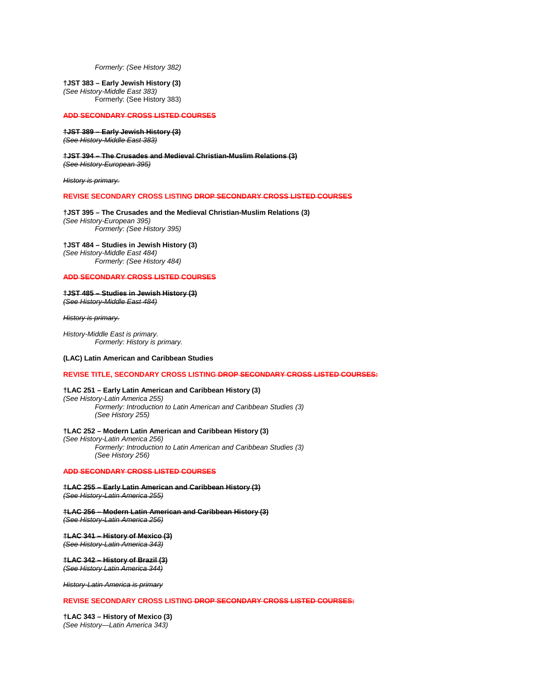*Formerly: (See History 382)*

**†JST 383 – Early Jewish History (3)**

*(See History-Middle East 383)* Formerly: (See History 383)

#### **ADD SECONDARY CROSS LISTED COURSES**

**†JST 389 – Early Jewish History (3)** *(See History-Middle East 383)*

**†JST 394 – The Crusades and Medieval Christian-Muslim Relations (3)** *(See History-European 395)*

*History is primary.*

#### **REVISE SECONDARY CROSS LISTING DROP SECONDARY CROSS LISTED COURSES**

**†JST 395 – The Crusades and the Medieval Christian-Muslim Relations (3)** *(See History-European 395) Formerly: (See History 395)*

**†JST 484 – Studies in Jewish History (3)** *(See History-Middle East 484) Formerly: (See History 484)*

#### **ADD SECONDARY CROSS LISTED COURSES**

**†JST 485 – Studies in Jewish History (3)** *(See History-Middle East 484)*

*History is primary.*

*History-Middle East is primary. Formerly: History is primary.*

# **(LAC) Latin American and Caribbean Studies**

**REVISE TITLE, SECONDARY CROSS LISTING DROP SECONDARY CROSS LISTED COURSES:**

# **†LAC 251 – Early Latin American and Caribbean History (3)**

*(See History-Latin America 255) Formerly: Introduction to Latin American and Caribbean Studies (3) (See History 255)*

#### **†LAC 252 – Modern Latin American and Caribbean History (3)**

*(See History-Latin America 256) Formerly: Introduction to Latin American and Caribbean Studies (3) (See History 256)*

#### **ADD SECONDARY CROSS LISTED COURSES**

**†LAC 255 – Early Latin American and Caribbean History (3)**

*(See History-Latin America 255)*

**†LAC 256 – Modern Latin American and Caribbean History (3)** *(See History-Latin America 256)*

#### **†LAC 341 – History of Mexico (3)** *(See History-Latin America 343)*

**†LAC 342 – History of Brazil (3)** *(See History Latin America 344)*

*History-Latin America is primary*

#### **REVISE SECONDARY CROSS LISTING DROP SECONDARY CROSS LISTED COURSES:**

**†LAC 343 – History of Mexico (3)** *(See History—Latin America 343)*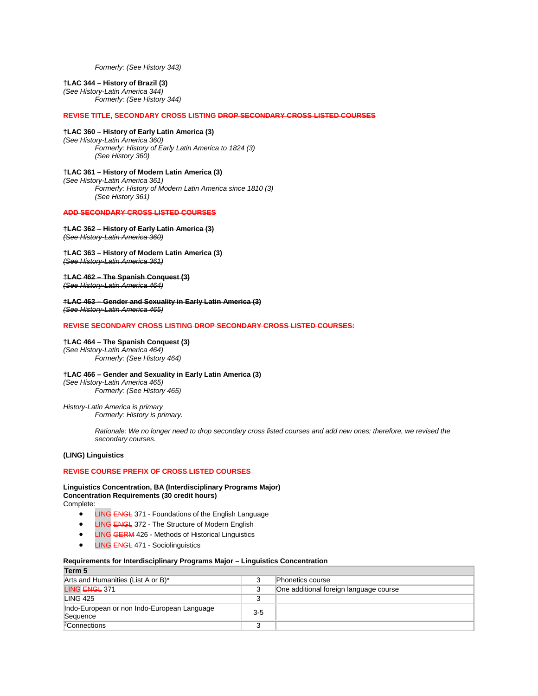*Formerly: (See History 343)*

# **†LAC 344 – History of Brazil (3)**

*(See History-Latin America 344) Formerly: (See History 344)*

# **REVISE TITLE, SECONDARY CROSS LISTING DROP SECONDARY CROSS LISTED COURSES**

#### **†LAC 360 – History of Early Latin America (3)** *(See History-Latin America 360)*

*Formerly: History of Early Latin America to 1824 (3) (See History 360)*

# **†LAC 361 – History of Modern Latin America (3)**

*(See History-Latin America 361) Formerly: History of Modern Latin America since 1810 (3)*

*(See History 361)*

# **ADD SECONDARY CROSS LISTED COURSES**

# **†LAC 362 – History of Early Latin America (3)**

*(See History-Latin America 360)*

#### **†LAC 363 – History of Modern Latin America (3)** *(See History-Latin America 361)*

# **†LAC 462 – The Spanish Conquest (3)**

*(See History-Latin America 464)*

**†LAC 463 – Gender and Sexuality in Early Latin America (3)** *(See History-Latin America 465)*

# **REVISE SECONDARY CROSS LISTING DROP SECONDARY CROSS LISTED COURSES:**

# **†LAC 464 – The Spanish Conquest (3)**

*(See History-Latin America 464) Formerly: (See History 464)*

# **†LAC 466 – Gender and Sexuality in Early Latin America (3)**

*(See History-Latin America 465) Formerly: (See History 465)*

# *History-Latin America is primary*

*Formerly: History is primary.*

*Rationale: We no longer need to drop secondary cross listed courses and add new ones; therefore, we revised the secondary courses.*

# **(LING) Linguistics**

# **REVISE COURSE PREFIX OF CROSS LISTED COURSES**

#### **Linguistics Concentration, BA (Interdisciplinary Programs Major) Concentration Requirements (30 credit hours)** Complete:

- LING ENGL 371 Foundations of the English Language
- **LING ENGL 372 The Structure of Modern English**
- **LING GERM 426 Methods of Historical Linguistics**
- LING ENGL 471 Sociolinguistics

# **Requirements for Interdisciplinary Programs Major – Linguistics Concentration**

| Term 5                                      |        |                                        |  |
|---------------------------------------------|--------|----------------------------------------|--|
| Arts and Humanities (List A or B)*          | 3      | Phonetics course                       |  |
| LING ENGL 371                               | 3      | One additional foreign language course |  |
| <b>LING 425</b>                             |        |                                        |  |
| Indo-European or non Indo-European Language | $3-5$  |                                        |  |
| Sequence                                    |        |                                        |  |
| <sup>2</sup> Connections                    | ว<br>J |                                        |  |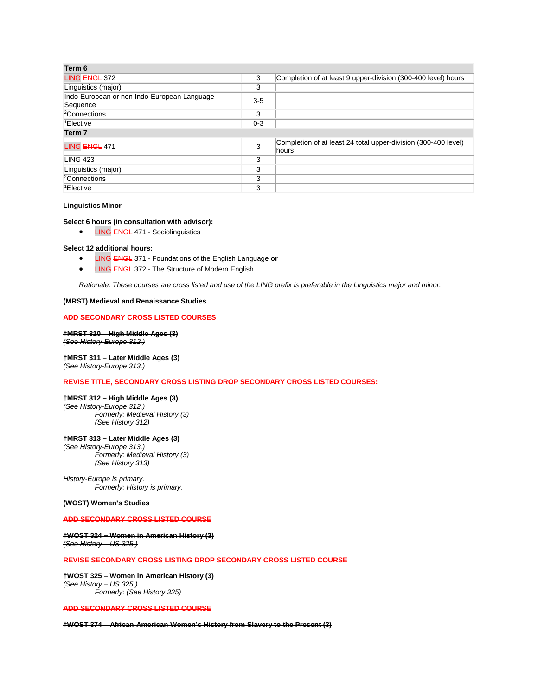| Term 6                                                  |         |                                                                         |  |  |
|---------------------------------------------------------|---------|-------------------------------------------------------------------------|--|--|
| LING ENGL 372                                           | 3       | Completion of at least 9 upper-division (300-400 level) hours           |  |  |
| Linguistics (major)                                     | 3       |                                                                         |  |  |
| Indo-European or non Indo-European Language<br>Sequence | $3-5$   |                                                                         |  |  |
| <sup>2</sup> Connections                                | 3       |                                                                         |  |  |
| <sup>1</sup> Elective                                   | $0 - 3$ |                                                                         |  |  |
| Term 7                                                  |         |                                                                         |  |  |
| LING ENGL 471                                           | 3       | Completion of at least 24 total upper-division (300-400 level)<br>hours |  |  |
| <b>LING 423</b>                                         | 3       |                                                                         |  |  |
| Linguistics (major)                                     | 3       |                                                                         |  |  |
| <sup>2</sup> Connections                                | 3       |                                                                         |  |  |
| <sup>1</sup> Elective                                   | 3       |                                                                         |  |  |

#### **Linguistics Minor**

# **Select 6 hours (in consultation with advisor):**

• LING ENGL 471 - Sociolinguistics

#### **Select 12 additional hours:**

- LING ENGL 371 Foundations of the English Language **or**
- LING ENGL 372 The Structure of Modern English

*Rationale: These courses are cross listed and use of the LING prefix is preferable in the Linguistics major and minor.*

#### **(MRST) Medieval and Renaissance Studies**

#### **ADD SECONDARY CROSS LISTED COURSES**

**†MRST 310 – High Middle Ages (3)** *(See History-Europe 312.)*

# **†MRST 311 – Later Middle Ages (3)**

*(See History-Europe 313.)*

# **REVISE TITLE, SECONDARY CROSS LISTING DROP SECONDARY CROSS LISTED COURSES:**

# **†MRST 312 – High Middle Ages (3)**

*(See History-Europe 312.) Formerly: Medieval History (3) (See History 312)*

#### **†MRST 313 – Later Middle Ages (3)**

*(See History-Europe 313.) Formerly: Medieval History (3) (See History 313)*

*History-Europe is primary. Formerly: History is primary.*

#### **(WOST) Women's Studies**

# **ADD SECONDARY CROSS LISTED COURSE**

# **†WOST 324 – Women in American History (3)** *(See History – US 325.)*

#### **REVISE SECONDARY CROSS LISTING DROP SECONDARY CROSS LISTED COURSE**

**†WOST 325 – Women in American History (3)** *(See History – US 325.) Formerly: (See History 325)*

# **ADD SECONDARY CROSS LISTED COURSE**

**†WOST 374 – African-American Women's History from Slavery to the Present (3)**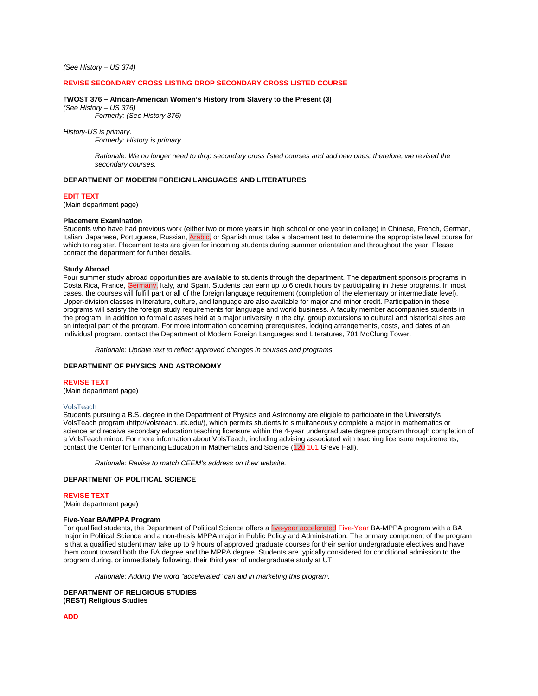#### *(See History – US 374)*

#### **REVISE SECONDARY CROSS LISTING DROP SECONDARY CROSS LISTED COURSE**

#### **†WOST 376 – African-American Women's History from Slavery to the Present (3)**

*(See History – US 376)*

*Formerly: (See History 376)*

#### *History-US is primary.*

*Formerly: History is primary.*

*Rationale: We no longer need to drop secondary cross listed courses and add new ones; therefore, we revised the secondary courses.*

# **DEPARTMENT OF MODERN FOREIGN LANGUAGES AND LITERATURES**

#### **EDIT TEXT**

(Main department page)

#### **Placement Examination**

Students who have had previous work (either two or more years in high school or one year in college) in Chinese, French, German, Italian, Japanese, Portuguese, Russian, Arabic, or Spanish must take a placement test to determine the appropriate level course for which to register. Placement tests are given for incoming students during summer orientation and throughout the year. Please contact the department for further details.

#### **Study Abroad**

Four summer study abroad opportunities are available to students through the department. The department sponsors programs in Costa Rica, France, Germany, Italy, and Spain. Students can earn up to 6 credit hours by participating in these programs. In most cases, the courses will fulfill part or all of the foreign language requirement (completion of the elementary or intermediate level). Upper-division classes in literature, culture, and language are also available for major and minor credit. Participation in these programs will satisfy the foreign study requirements for language and world business. A faculty member accompanies students in the program. In addition to formal classes held at a major university in the city, group excursions to cultural and historical sites are an integral part of the program. For more information concerning prerequisites, lodging arrangements, costs, and dates of an individual program, contact the Department of Modern Foreign Languages and Literatures, 701 McClung Tower.

*Rationale: Update text to reflect approved changes in courses and programs.*

# **DEPARTMENT OF PHYSICS AND ASTRONOMY**

#### **REVISE TEXT**

(Main department page)

#### VolsTeach

Students pursuing a B.S. degree in the Department of Physics and Astronomy are eligible to participate in the University's VolsTeach program (http://volsteach.utk.edu/), which permits students to simultaneously complete a major in mathematics or science and receive secondary education teaching licensure within the 4-year undergraduate degree program through completion of a VolsTeach minor. For more information about VolsTeach, including advising associated with teaching licensure requirements, contact the Center for Enhancing Education in Mathematics and Science (120 101 Greve Hall).

*Rationale: Revise to match CEEM's address on their website.*

# **DEPARTMENT OF POLITICAL SCIENCE**

#### **REVISE TEXT**

(Main department page)

# **Five-Year BA/MPPA Program**

For qualified students, the Department of Political Science offers a five-year accelerated Five-Year BA-MPPA program with a BA major in Political Science and a non-thesis MPPA major in Public Policy and Administration. The primary component of the program is that a qualified student may take up to 9 hours of approved graduate courses for their senior undergraduate electives and have them count toward both the BA degree and the MPPA degree. Students are typically considered for conditional admission to the program during, or immediately following, their third year of undergraduate study at UT.

*Rationale: Adding the word "accelerated" can aid in marketing this program.* 

**DEPARTMENT OF RELIGIOUS STUDIES (REST) Religious Studies**

**ADD**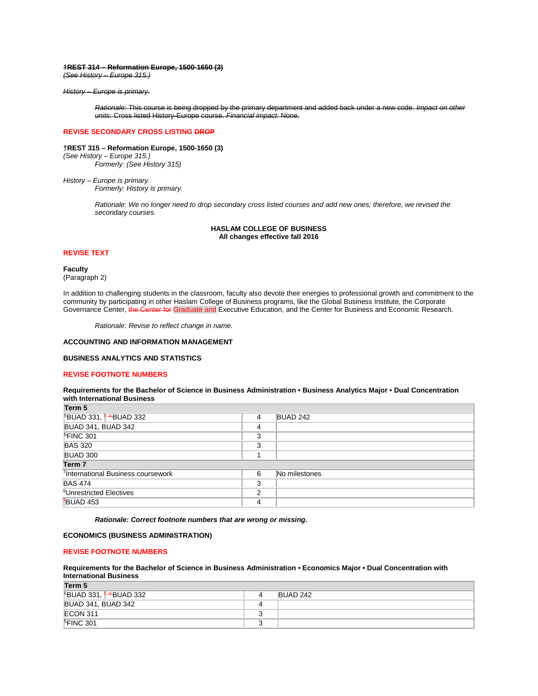#### **†REST 314 – Reformation Europe, 1500-1650 (3)**

*(See History – Europe 315.)*

# *History – Europe is primary.*

*Rationale:* This course is being dropped by the primary department and added back under a new code. *Impact on other units:* Cross listed History-Europe course. *Financial impact:* None.

# **REVISE SECONDARY CROSS LISTING DROP**

#### **†REST 315 – Reformation Europe, 1500-1650 (3)**

*(See History – Europe 315.) Formerly: (See History 315)*

*History – Europe is primary. Formerly: History is primary.*

> *Rationale: We no longer need to drop secondary cross listed courses and add new ones; therefore, we revised the secondary courses.*

> > **HASLAM COLLEGE OF BUSINESS All changes effective fall 2016**

# **REVISE TEXT**

**Faculty** (Paragraph 2)

In addition to challenging students in the classroom, faculty also devote their energies to professional growth and commitment to the community by participating in other Haslam College of Business programs, like the Global Business Institute, the Corporate Governance Center, the Center for Graduate and Executive Education, and the Center for Business and Economic Research.

*Rationale: Revise to reflect change in name.*

# **ACCOUNTING AND INFORMATION MANAGEMENT**

# **BUSINESS ANALYTICS AND STATISTICS**

# **REVISE FOOTNOTE NUMBERS**

# **Requirements for the Bachelor of Science in Business Administration • Business Analytics Major • Dual Concentration with International Business**

| 4      | BUAD 242      |  |  |  |
|--------|---------------|--|--|--|
| 4      |               |  |  |  |
| 3      |               |  |  |  |
| 3      |               |  |  |  |
|        |               |  |  |  |
| Term 7 |               |  |  |  |
| 6      | No milestones |  |  |  |
| 3      |               |  |  |  |
| າ      |               |  |  |  |
| 4      |               |  |  |  |
|        |               |  |  |  |

*Rationale: Correct footnote numbers that are wrong or missing.*

# **ECONOMICS (BUSINESS ADMINISTRATION)**

# **REVISE FOOTNOTE NUMBERS**

# **Requirements for the Bachelor of Science in Business Administration • Economics Major • Dual Concentration with International Business**

**Term 5**

| --------<br><sup>5</sup> BUAD 331, <sup>54</sup> BUAD 332 | BUAD 242 |
|-----------------------------------------------------------|----------|
| <b>BUAD 341, BUAD 342</b>                                 |          |
| ECON 311                                                  |          |
| <sup>5</sup> FINC 301                                     |          |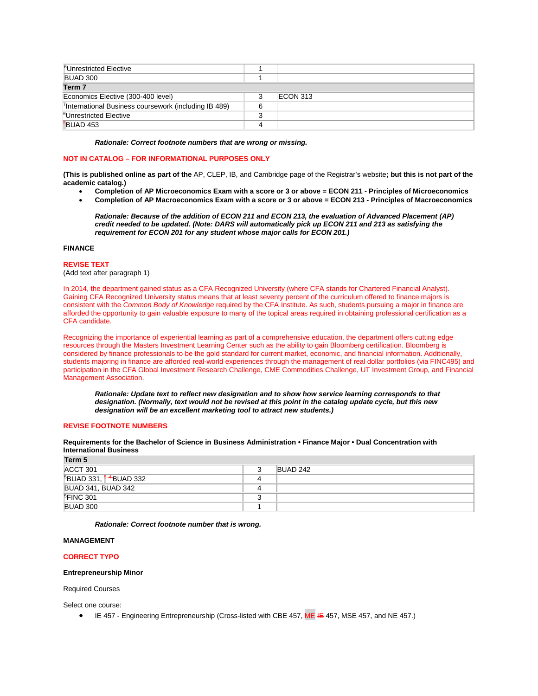| <sup>6</sup> Unrestricted Elective                                |   |          |
|-------------------------------------------------------------------|---|----------|
| BUAD 300                                                          |   |          |
| Term <sub>7</sub>                                                 |   |          |
| Economics Elective (300-400 level)                                |   | ECON 313 |
| <sup>7</sup> International Business coursework (including IB 489) | 6 |          |
| <sup>6</sup> Unrestricted Elective                                |   |          |
| <b>BUAD 453</b>                                                   |   |          |

#### *Rationale: Correct footnote numbers that are wrong or missing.*

# **NOT IN CATALOG – FOR INFORMATIONAL PURPOSES ONLY**

**(This is published online as part of the** AP, CLEP, IB, and Cambridge page of the Registrar's website**; but this is not part of the academic catalog.)**

- **Completion of AP Microeconomics Exam with a score or 3 or above = ECON 211 - Principles of Microeconomics**
- **Completion of AP Macroeconomics Exam with a score or 3 or above = ECON 213 - Principles of Macroeconomics**

*Rationale: Because of the addition of ECON 211 and ECON 213, the evaluation of Advanced Placement (AP) credit needed to be updated. (Note: DARS will automatically pick up ECON 211 and 213 as satisfying the requirement for ECON 201 for any student whose major calls for ECON 201.)*

# **FINANCE**

#### **REVISE TEXT**

(Add text after paragraph 1)

In 2014, the department gained status as a CFA Recognized University (where CFA stands for Chartered Financial Analyst). Gaining CFA Recognized University status means that at least seventy percent of the curriculum offered to finance majors is consistent with the *Common Body of Knowledge* required by the CFA Institute. As such, students pursuing a major in finance are afforded the opportunity to gain valuable exposure to many of the topical areas required in obtaining professional certification as a CFA candidate.

Recognizing the importance of experiential learning as part of a comprehensive education, the department offers cutting edge resources through the Masters Investment Learning Center such as the ability to gain Bloomberg certification. Bloomberg is considered by finance professionals to be the gold standard for current market, economic, and financial information. Additionally, students majoring in finance are afforded real-world experiences through the management of real dollar portfolios (via FINC495) and participation in the CFA Global Investment Research Challenge, CME Commodities Challenge, UT Investment Group, and Financial Management Association.

*Rationale: Update text to reflect new designation and to show how service learning corresponds to that designation. (Normally, text would not be revised at this point in the catalog update cycle, but this new designation will be an excellent marketing tool to attract new students.)*

# **REVISE FOOTNOTE NUMBERS**

**Requirements for the Bachelor of Science in Business Administration • Finance Major • Dual Concentration with International Business**

| ACCT 301                                      | BUAD 242 |
|-----------------------------------------------|----------|
| <sup>5</sup> BUAD 331, <sup>54</sup> BUAD 332 |          |
| <b>BUAD 341, BUAD 342</b>                     |          |
| $FINC$ 301                                    |          |
| BUAD 300                                      |          |

*Rationale: Correct footnote number that is wrong.*

# **MANAGEMENT**

# **CORRECT TYPO**

#### **Entrepreneurship Minor**

Required Courses

Select one course:

• IE 457 - Engineering Entrepreneurship (Cross-listed with CBE 457, ME IE 457, MSE 457, and NE 457.)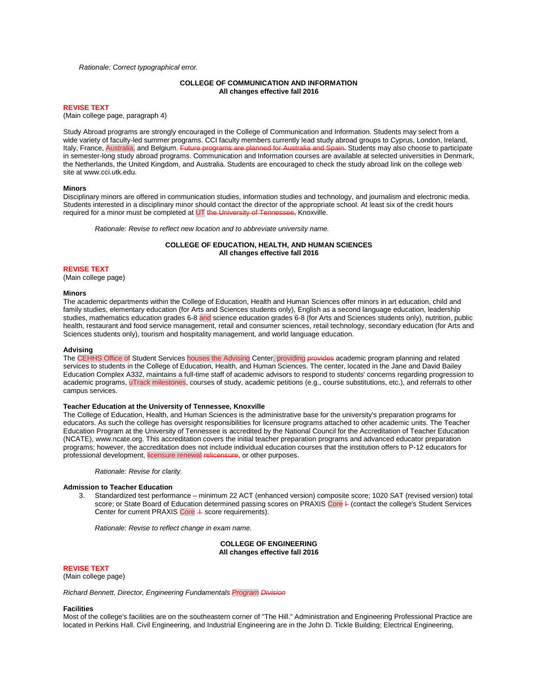#### *Rationale: Correct typographical error.*

# **COLLEGE OF COMMUNICATION AND INFORMATION All changes effective fall 2016**

# **REVISE TEXT**

(Main college page, paragraph 4)

Study Abroad programs are strongly encouraged in the College of Communication and Information. Students may select from a wide variety of faculty-led summer programs. CCI faculty members currently lead study abroad groups to Cyprus, London, Ireland,<br>Italy. France. Australia. and Belgium. Future programs are planned for Australia and Spain. St Ite planned for Australia and Spain. Students may also choose to participate in semester-long study abroad programs. Communication and Information courses are available at selected universities in Denmark, the Netherlands, the United Kingdom, and Australia. Students are encouraged to check the study abroad link on the college web site at www.cci.utk.edu.

#### **Minors**

Disciplinary minors are offered in communication studies, information studies and technology, and journalism and electronic media. Students interested in a disciplinary minor should contact the director of the appropriate school. At least six of the credit hours required for a minor must be completed at UT the University of Tennessee, Knoxville.

*Rationale: Revise to reflect new location and to abbreviate university name.*

# **COLLEGE OF EDUCATION, HEALTH, AND HUMAN SCIENCES All changes effective fall 2016**

# **REVISE TEXT**

(Main college page)

#### **Minors**

The academic departments within the College of Education, Health and Human Sciences offer minors in art education, child and family studies, elementary education (for Arts and Sciences students only), English as a second language education, leadership studies, mathematics education grades 6-8 and science education grades 6-8 (for Arts and Sciences students only), nutrition, public health, restaurant and food service management, retail and consumer sciences, retail technology, secondary education (for Arts and Sciences students only), tourism and hospitality management, and world language education.

#### **Advising**

The CEHHS Office of Student Services houses the Advising Center, providing provides academic program planning and related services to students in the College of Education, Health, and Human Sciences. The center, located in the Jane and David Bailey Education Complex A332, maintains a full-time staff of academic advisors to respond to students' concerns regarding progression to academic programs, uTrack milestones, courses of study, academic petitions (e.g., course substitutions, etc.), and referrals to other campus services.

# **Teacher Education at the University of Tennessee, Knoxville**

The College of Education, Health, and Human Sciences is the administrative base for the university's preparation programs for educators. As such the college has oversight responsibilities for licensure programs attached to other academic units. The Teacher Education Program at the University of Tennessee is accredited by the National Council for the Accreditation of Teacher Education (NCATE), www.ncate.org. This accreditation covers the initial teacher preparation programs and advanced educator preparation programs; however, the accreditation does not include individual education courses that the institution offers to P-12 educators for professional development, licensure renewal relicensure, or other purposes.

*Rationale: Revise for clarity.*

# **Admission to Teacher Education**

3. Standardized test performance – minimum 22 ACT (enhanced version) composite score; 1020 SAT (revised version) total score; or State Board of Education determined passing scores on PRAXIS Core + (contact the college's Student Services Center for current PRAXIS Core  $+$  score requirements).

*Rationale: Revise to reflect change in exam name.*

**COLLEGE OF ENGINEERING All changes effective fall 2016**

#### **REVISE TEXT**

(Main college page)

*Richard Bennett, Director, Engineering Fundamentals Program Division*

#### **Facilities**

Most of the college's facilities are on the southeastern corner of "The Hill." Administration and Engineering Professional Practice are located in Perkins Hall. Civil Engineering, and Industrial Engineering are in the John D. Tickle Building; Electrical Engineering,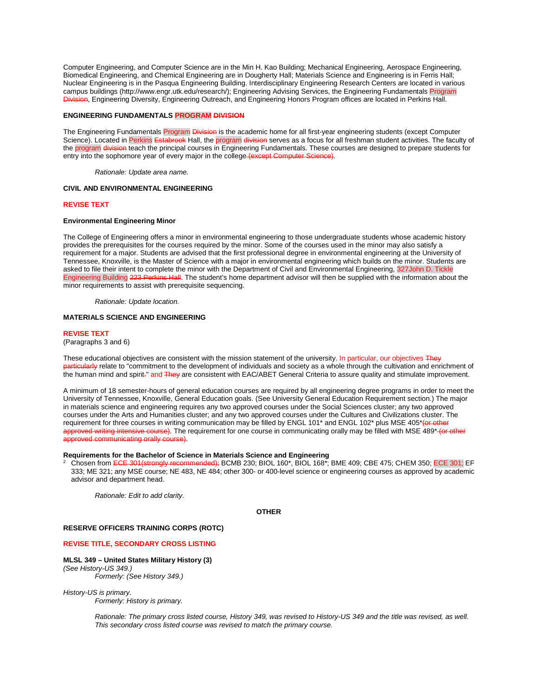Computer Engineering, and Computer Science are in the Min H. Kao Building; Mechanical Engineering, Aerospace Engineering, Biomedical Engineering, and Chemical Engineering are in Dougherty Hall; Materials Science and Engineering is in Ferris Hall; Nuclear Engineering is in the Pasqua Engineering Building. Interdisciplinary Engineering Research Centers are located in various campus buildings (http://www.engr.utk.edu/research/); Engineering Advising Services, the Engineering Fundamentals Program Division, Engineering Diversity, Engineering Outreach, and Engineering Honors Program offices are located in Perkins Hall.

# **ENGINEERING FUNDAMENTALS PROGRAM DIVISION**

The Engineering Fundamentals Program Division is the academic home for all first-year engineering students (except Computer Science). Located in Perkins Estabrook Hall, the program division serves as a focus for all freshman student activities. The faculty of the program division teach the principal courses in Engineering Fundamentals. These courses are designed to prepare students for entry into the sophomore year of every major in the college (except Computer S

*Rationale: Update area name.*

# **CIVIL AND ENVIRONMENTAL ENGINEERING**

# **REVISE TEXT**

# **Environmental Engineering Minor**

The College of Engineering offers a minor in environmental engineering to those undergraduate students whose academic history provides the prerequisites for the courses required by the minor. Some of the courses used in the minor may also satisfy a requirement for a major. Students are advised that the first professional degree in environmental engineering at the University of Tennessee, Knoxville, is the Master of Science with a major in environmental engineering which builds on the minor. Students are asked to file their intent to complete the minor with the Department of Civil and Environmental Engineering, 327John D. Tickle<br>Engineering Building 223 Perkins Hall. The student's home department advisor will then be suppl **s Hall**. The student's home department advisor will then be supplied with the information about the minor requirements to assist with prerequisite sequencing.

*Rationale: Update location.*

# **MATERIALS SCIENCE AND ENGINEERING**

#### **REVISE TEXT**

(Paragraphs 3 and 6)

These educational objectives are consistent with the mission statement of the university. In particular, our objectives They particularly relate to "commitment to the development of individuals and society as a whole through the cultivation and enrichment of the human mind and spirit." and They are consistent with EAC/ABET General Criteria to assure quality and stimulate improvement.

A minimum of 18 semester-hours of general education courses are required by all engineering degree programs in order to meet the University of Tennessee, Knoxville, General Education goals. (See University General Education Requirement section.) The major in materials science and engineering requires any two approved courses under the Social Sciences cluster; any two approved courses under the Arts and Humanities cluster; and any two approved courses under the Cultures and Civilizations cluster. The requirement for three courses in writing communication may be filled by ENGL 101<sup>\*</sup> and ENGL 102<sup>\*</sup> plus MSE 405<sup>\*</sup>(or other approved writing intensive course). The requirement for one course in communicating orally may be filled with MSE 489\* (or other approved communicating orally course).

# **Requirements for the Bachelor of Science in Materials Science and Engineering**

Chosen from ECE 301(strongly recommended); BCMB 230; BIOL 160\*, BIOL 168\*; BME 409; CBE 475; CHEM 350; ECE 301; EF 333; ME 321; any MSE course; NE 483, NE 484; other 300- or 400-level science or engineering courses as approved by academic advisor and department head.

*Rationale: Edit to add clarity.*

# **OTHER**

# **RESERVE OFFICERS TRAINING CORPS (ROTC)**

#### **REVISE TITLE, SECONDARY CROSS LISTING**

# **MLSL 349 – United States Military History (3)** *(See History-US 349.)*

*Formerly: (See History 349.)*

*History-US is primary. Formerly: History is primary.*

> *Rationale: The primary cross listed course, History 349, was revised to History-US 349 and the title was revised, as well. This secondary cross listed course was revised to match the primary course.*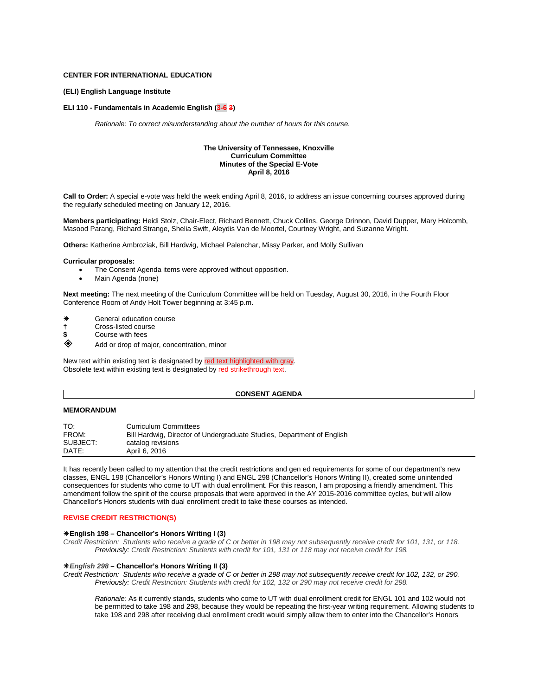# **CENTER FOR INTERNATIONAL EDUCATION**

# **(ELI) English Language Institute**

# **ELI 110 - Fundamentals in Academic English (3-6 3)**

*Rationale: To correct misunderstanding about the number of hours for this course.*

# **The University of Tennessee, Knoxville Curriculum Committee Minutes of the Special E-Vote April 8, 2016**

**Call to Order:** A special e-vote was held the week ending April 8, 2016, to address an issue concerning courses approved during the regularly scheduled meeting on January 12, 2016.

**Members participating:** Heidi Stolz, Chair-Elect, Richard Bennett, Chuck Collins, George Drinnon, David Dupper, Mary Holcomb, Masood Parang, Richard Strange, Shelia Swift, Aleydis Van de Moortel, Courtney Wright, and Suzanne Wright.

**Others:** Katherine Ambroziak, Bill Hardwig, Michael Palenchar, Missy Parker, and Molly Sullivan

#### **Curricular proposals:**

- The Consent Agenda items were approved without opposition.
- Main Agenda (none)

**Next meeting:** The next meeting of the Curriculum Committee will be held on Tuesday, August 30, 2016, in the Fourth Floor Conference Room of Andy Holt Tower beginning at 3:45 p.m.

- General education course
- **†** Cross-listed course
- **\$** Course with fees
- Add or drop of major, concentration, minor

New text within existing text is designated by red text highlighted with gray. Obsolete text within existing text is designated by red s

# **CONSENT AGENDA**

# **MEMORANDUM**

| TO:      | <b>Curriculum Committees</b>                                           |
|----------|------------------------------------------------------------------------|
| FROM:    | Bill Hardwig, Director of Undergraduate Studies, Department of English |
| SUBJECT: | catalog revisions                                                      |
| DATE:    | April 6, 2016                                                          |

It has recently been called to my attention that the credit restrictions and gen ed requirements for some of our department's new classes, ENGL 198 (Chancellor's Honors Writing I) and ENGL 298 (Chancellor's Honors Writing II), created some unintended consequences for students who come to UT with dual enrollment. For this reason, I am proposing a friendly amendment. This amendment follow the spirit of the course proposals that were approved in the AY 2015-2016 committee cycles, but will allow Chancellor's Honors students with dual enrollment credit to take these courses as intended.

# **REVISE CREDIT RESTRICTION(S)**

# **English 198 – Chancellor's Honors Writing I (3)**

*Credit Restriction: Students who receive a grade of C or better in 198 may not subsequently receive credit for 101, 131, or 118. Previously: Credit Restriction: Students with credit for 101, 131 or 118 may not receive credit for 198.*

# *English 298* **– Chancellor's Honors Writing II (3)**

*Credit Restriction: Students who receive a grade of C or better in 298 may not subsequently receive credit for 102, 132, or 290. Previously: Credit Restriction: Students with credit for 102, 132 or 290 may not receive credit for 298.*

*Rationale:* As it currently stands, students who come to UT with dual enrollment credit for ENGL 101 and 102 would not be permitted to take 198 and 298, because they would be repeating the first-year writing requirement. Allowing students to take 198 and 298 after receiving dual enrollment credit would simply allow them to enter into the Chancellor's Honors